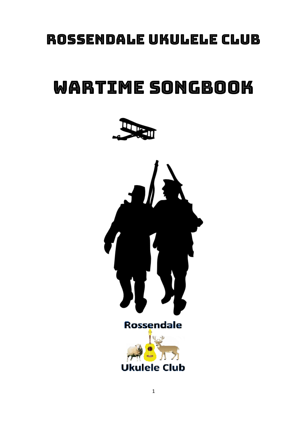# ROSSENDALE UKULELE CLUB

# Wartime Songbook

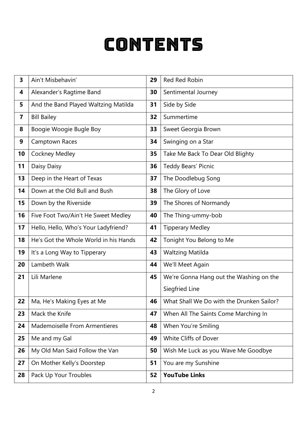# CONTENTS

| Ain't Misbehavin'                     | 29 | Red Red Robin                             |
|---------------------------------------|----|-------------------------------------------|
| Alexander's Ragtime Band              | 30 | Sentimental Journey                       |
| And the Band Played Waltzing Matilda  | 31 | Side by Side                              |
| <b>Bill Bailey</b>                    | 32 | Summertime                                |
| Boogie Woogie Bugle Boy               | 33 | Sweet Georgia Brown                       |
| Camptown Races                        | 34 | Swinging on a Star                        |
| <b>Cockney Medley</b>                 | 35 | Take Me Back To Dear Old Blighty          |
| Daisy Daisy                           | 36 | Teddy Bears' Picnic                       |
| Deep in the Heart of Texas            | 37 | The Doodlebug Song                        |
| Down at the Old Bull and Bush         | 38 | The Glory of Love                         |
| Down by the Riverside                 | 39 | The Shores of Normandy                    |
| Five Foot Two/Ain't He Sweet Medley   | 40 | The Thing-ummy-bob                        |
| Hello, Hello, Who's Your Ladyfriend?  | 41 | <b>Tipperary Medley</b>                   |
| He's Got the Whole World in his Hands | 42 | Tonight You Belong to Me                  |
|                                       |    |                                           |
| It's a Long Way to Tipperary          | 43 | <b>Waltzing Matilda</b>                   |
| Lambeth Walk                          | 44 | We'll Meet Again                          |
| Lili Marlene                          | 45 | We're Gonna Hang out the Washing on the   |
|                                       |    | Siegfried Line                            |
| Ma, He's Making Eyes at Me            | 46 | What Shall We Do with the Drunken Sailor? |
| Mack the Knife                        | 47 | When All The Saints Come Marching In      |
| <b>Mademoiselle From Armentieres</b>  | 48 | When You're Smiling                       |
| Me and my Gal                         | 49 | White Cliffs of Dover                     |
| My Old Man Said Follow the Van        | 50 | Wish Me Luck as you Wave Me Goodbye       |
| On Mother Kelly's Doorstep            | 51 | You are my Sunshine                       |
|                                       |    |                                           |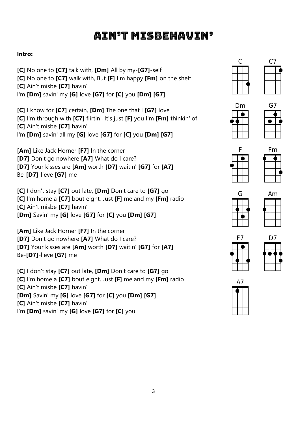# Ain't Misbehavin'

### **Intro:**

**[C]** No one to **[C7]** talk with, **[Dm]** All by my-**[G7]**-self

**[C]** No one to **[C7]** walk with, But **[F]** I'm happy **[Fm]** on the shelf

**[C]** Ain't misbe **[C7]** havin'

I'm **[Dm]** savin' my **[G]** love **[G7]** for **[C]** you **[Dm] [G7]**

**[C]** I know for **[C7]** certain, **[Dm]** The one that I **[G7]** love

**[C]** I'm through with **[C7]** flirtin', It's just **[F]** you I'm **[Fm]** thinkin' of

**[C]** Ain't misbe **[C7]** havin'

I'm **[Dm]** savin' all my **[G]** love **[G7]** for **[C]** you **[Dm] [G7]**

**[Am]** Like Jack Horner **[F7]** In the corner

**[D7]** Don't go nowhere **[A7]** What do I care?

**[D7]** Your kisses are **[Am]** worth **[D7]** waitin' **[G7]** for **[A7]** Be-**[D7]**-lieve **[G7]** me

**[C]** I don't stay **[C7]** out late, **[Dm]** Don't care to **[G7]** go **[C]** I'm home a **[C7]** bout eight, Just **[F]** me and my **[Fm]** radio **[C]** Ain't misbe **[C7]** havin' **[Dm]** Savin' my **[G]** love **[G7]** for **[C]** you **[Dm] [G7]**

**[Am]** Like Jack Horner **[F7]** In the corner **[D7]** Don't go nowhere **[A7]** What do I care? **[D7]** Your kisses are **[Am]** worth **[D7]** waitin' **[G7]** for **[A7]** Be-**[D7]**-lieve **[G7]** me

**[C]** I don't stay **[C7]** out late, **[Dm]** Don't care to **[G7]** go **[C]** I'm home a **[C7]** bout eight, Just **[F]** me and my **[Fm]** radio **[C]** Ain't misbe **[C7]** havin' **[Dm]** Savin' my **[G]** love **[G7]** for **[C]** you **[Dm] [G7] [C]** Ain't misbe **[C7]** havin' I'm **[Dm]** savin' my **[G]** love **[G7]** for **[C]** you



















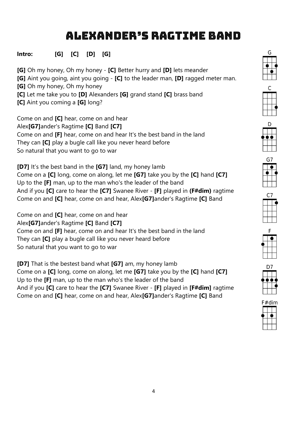# Alexander's Ragtime Band

### **Intro: [G] [C] [D] [G]**

**[G]** Oh my honey, Oh my honey - **[C]** Better hurry and **[D]** lets meander **[G]** Aint you going, aint you going - **[C]** to the leader man, **[D]** ragged meter man. **[G]** Oh my honey, Oh my honey **[C]** Let me take you to **[D]** Alexanders **[G]** grand stand **[C]** brass band **[C]** Aint you coming a **[G]** long? Come on and **[C]** hear, come on and hear

Alex**[G7]**ander's Ragtime **[C]** Band **[C7]** Come on and **[F]** hear, come on and hear It's the best band in the land They can **[C]** play a bugle call like you never heard before So natural that you want to go to war

**[D7]** It's the best band in the **[G7]** land, my honey lamb Come on a **[C]** long, come on along, let me **[G7]** take you by the **[C]** hand **[C7]** Up to the **[F]** man, up to the man who's the leader of the band And if you **[C]** care to hear the **[C7]** Swanee River - **[F]** played in **(F#dim)** ragtime Come on and **[C]** hear, come on and hear, Alex**[G7]**ander's Ragtime **[C]** Band

Come on and **[C]** hear, come on and hear Alex**[G7]**ander's Ragtime **[C]** Band **[C7]** Come on and **[F]** hear, come on and hear It's the best band in the land They can **[C]** play a bugle call like you never heard before So natural that you want to go to war

**[D7]** That is the bestest band what **[G7]** am, my honey lamb Come on a **[C]** long, come on along, let me **[G7]** take you by the **[C]** hand **[C7]** Up to the **[F]** man, up to the man who's the leader of the band And if you **[C]** care to hear the **[C7]** Swanee River - **[F]** played in **[F#dim]** ragtime Come on and **[C]** hear, come on and hear, Alex**[G7]**ander's Ragtime **[C]** Band















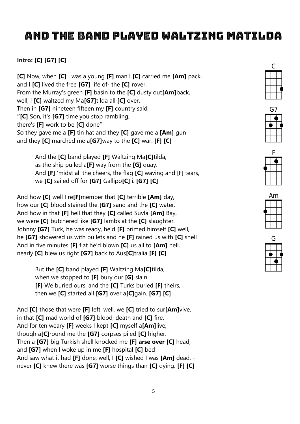# And the band played Waltzing Matilda

### **Intro: [C] [G7] [C]**

**[C]** Now, when **[C]** I was a young **[F]** man I **[C]** carried me **[Am]** pack, and I **[C]** lived the free **[G7]** life of- the **[C]** rover. From the Murray's green **[F]** basin to the **[C]** dusty out**[Am]**back, well, I **[C]** waltzed my Ma**[G7]**tilda all **[C]** over. Then in **[G7]** nineteen fifteen my **[F]** country said, **"[C]** Son, it's **[G7]** time you stop rambling, there's **[F]** work to be **[C]** done" So they gave me a **[F]** tin hat and they **[C]** gave me a **[Am]** gun and they **[C]** marched me a**[G7]**way to the **[C]** war. **[F] [C]** 

And the **[C]** band played **[F]** Waltzing Ma**[C]**tilda, as the ship pulled a**[F]** way from the **[G]** quay. And **[F]** 'midst all the cheers, the flag **[C]** waving and [F] tears, we **[C]** sailed off for **[G7]** Gallipo**[C]**li. **[G7] [C]**

And how **[C]** well I re**[F]**member that **[C]** terrible **[Am]** day, how our **[C]** blood stained the **[G7]** sand and the **[C]** water. And how in that **[F]** hell that they **[C]** called Suvla **[Am]** Bay, we were **[C]** butchered like **[G7]** lambs at the **[C]** slaughter. Johnny **[G7]** Turk, he was ready, he'd **[F]** primed himself **[C]** well, he **[G7]** showered us with bullets and he **[F]** rained us with **[C]** shell And in five minutes **[F]** flat he'd blown **[C]** us all to **[Am]** hell, nearly **[C]** blew us right **[G7]** back to Aus**[C]**tralia **[F] [C]** 

> But the **[C]** band played **[F]** Waltzing Ma**[C]**tilda, when we stopped to **[F]** bury our **[G]** slain. **[F]** We buried ours, and the **[C]** Turks buried **[F]** theirs, then we **[C]** started all **[G7]** over a**[C]**gain. **[G7] [C]**

And **[C]** those that were **[F]** left, well, we **[C]** tried to sur**[Am]**vive, in that **[C]** mad world of **[G7]** blood, death and **[C]** fire. And for ten weary **[F]** weeks I kept **[C]** myself a**[Am]**live, though a**[C]**round me the **[G7]** corpses piled **[C]** higher. Then a **[G7]** big Turkish shell knocked me **[F] arse over [C]** head, and **[G7]** when I woke up in me **[F]** hospital **[C]** bed And saw what it had **[F]** done, well, I **[C]** wished I was **[Am]** dead, never **[C]** knew there was **[G7]** worse things than **[C]** dying. **[F] [C]** 









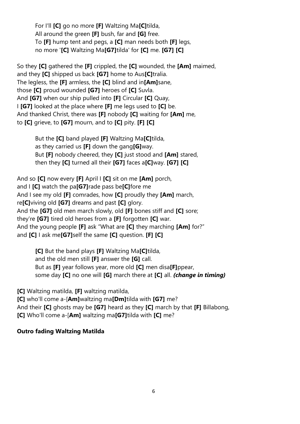For I'll **[C]** go no more **[F]** Waltzing Ma**[C]**tilda, All around the green **[F]** bush, far and **[G]** free. To **[F]** hump tent and pegs, a **[C]** man needs both **[F]** legs, no more '**[C]** Waltzing Ma**[G7]**tilda' for **[C]** me. **[G7] [C]** 

So they **[C]** gathered the **[F]** crippled, the **[C]** wounded, the **[Am]** maimed, and they **[C]** shipped us back **[G7]** home to Aus**[C]**tralia. The legless, the **[F]** armless, the **[C]** blind and in**[Am]**sane, those **[C]** proud wounded **[G7]** heroes of **[C]** Suvla. And **[G7]** when our ship pulled into **[F]** Circular **[C]** Quay, I **[G7]** looked at the place where **[F]** me legs used to **[C]** be. And thanked Christ, there was **[F]** nobody **[C]** waiting for **[Am]** me, to **[C]** grieve, to **[G7]** mourn, and to **[C]** pity. **[F] [C]**

But the **[C]** band played **[F]** Waltzing Ma**[C]**tilda, as they carried us **[F]** down the gang**[G]**way. But **[F]** nobody cheered, they **[C]** just stood and **[Am]** stared, then they **[C]** turned all their **[G7]** faces a**[C]**way. **[G7] [C]**

And so **[C]** now every **[F]** April I **[C]** sit on me **[Am]** porch, and I **[C]** watch the pa**[G7]**rade pass be**[C]**fore me And I see my old **[F]** comrades, how **[C]** proudly they **[Am]** march, re**[C]**viving old **[G7]** dreams and past **[C]** glory. And the **[G7]** old men march slowly, old **[F]** bones stiff and **[C]** sore; they're **[G7]** tired old heroes from a **[F]** forgotten **[C]** war. And the young people **[F]** ask "What are **[C]** they marching **[Am]** for?" and **[C]** I ask me**[G7]**self the same **[C]** question. **[F] [C]** 

**[C]** But the band plays **[F]** Waltzing Ma**[C]**tilda, and the old men still **[F]** answer the **[G]** call. But as **[F]** year follows year, more old **[C]** men disa**[F]**ppear, some day **[C]** no one will **[G]** march there at **[C]** all. *(change in timing)* 

**[C]** Waltzing matilda, **[F]** waltzing matilda,

**[C]** who'll come a-[**Am]**waltzing ma**[Dm]**tilda with **[G7]** me? And their **[C]** ghosts may be **[G7]** heard as they **[C]** march by that **[F]** Billabong, **[C]** Who'll come a-[**Am]** waltzing ma**[G7]**tilda with **[C]** me?

#### **Outro fading Waltzing Matilda**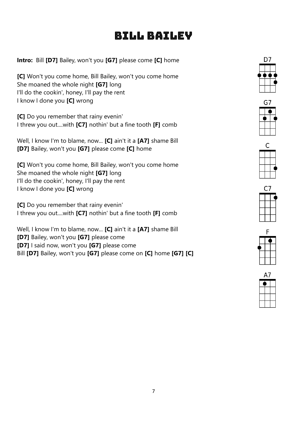# Bill Bailey

**Intro:** Bill **[D7]** Bailey, won't you **[G7]** please come **[C]** home

**[C]** Won't you come home, Bill Bailey, won't you come home She moaned the whole night **[G7]** long I'll do the cookin', honey, I'll pay the rent I know I done you **[C]** wrong

**[C]** Do you remember that rainy evenin' I threw you out....with **[C7]** nothin' but a fine tooth **[F]** comb

Well, I know I'm to blame, now... **[C]** ain't it a **[A7]** shame Bill **[D7]** Bailey, won't you **[G7]** please come **[C]** home

**[C]** Won't you come home, Bill Bailey, won't you come home She moaned the whole night **[G7]** long I'll do the cookin', honey, I'll pay the rent I know I done you **[C]** wrong

**[C]** Do you remember that rainy evenin' I threw you out....with **[C7]** nothin' but a fine tooth **[F]** comb

Well, I know I'm to blame, now... **[C]** ain't it a **[A7]** shame Bill **[D7]** Bailey, won't you **[G7]** please come **[D7]** I said now, won't you **[G7]** please come Bill **[D7]** Bailey, won't you **[G7]** please come on **[C]** home **[G7] [C]**











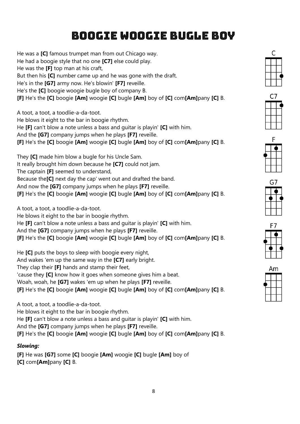# BOOGIE WOOGIE BUGLE BOY

He was a **[C]** famous trumpet man from out Chicago way. He had a boogie style that no one **[C7]** else could play. He was the **[F]** top man at his craft, But then his **[C]** number came up and he was gone with the draft. He's in the **[G7]** army now. He's blowin' **[F7]** reveille. He's the **[C]** boogie woogie bugle boy of company B. **[F]** He's the **[C]** boogie **[Am]** woogie **[C]** bugle **[Am]** boy of **[C]** com**[Am]**pany **[C]** B.

A toot, a toot, a toodlie-a-da-toot. He blows it eight to the bar in boogie rhythm. He **[F]** can't blow a note unless a bass and guitar is playin' **[C]** with him. And the **[G7]** company jumps when he plays **[F7]** reveille. **[F]** He's the **[C]** boogie **[Am]** woogie **[C]** bugle **[Am]** boy of **[C]** com**[Am]**pany **[C]** B.

They **[C]** made him blow a bugle for his Uncle Sam. It really brought him down because he **[C7]** could not jam. The captain **[F]** seemed to understand, Because the**[C]** next day the cap' went out and drafted the band. And now the **[G7]** company jumps when he plays **[F7]** reveille. **[F]** He's the **[C]** boogie **[Am]** woogie **[C]** bugle **[Am]** boy of **[C]** com**[Am]**pany **[C]** B.

A toot, a toot, a toodlie-a-da-toot. He blows it eight to the bar in boogie rhythm. He **[F]** can't blow a note unless a bass and guitar is playin' **[C]** with him. And the **[G7]** company jumps when he plays **[F7]** reveille. **[F]** He's the **[C]** boogie **[Am]** woogie **[C]** bugle **[Am]** boy of **[C]** com**[Am]**pany **[C]** B.

He **[C]** puts the boys to sleep with boogie every night, And wakes 'em up the same way in the **[C7]** early bright. They clap their **[F]** hands and stamp their feet, 'cause they **[C]** know how it goes when someone gives him a beat. Woah, woah, he **[G7]** wakes 'em up when he plays **[F7]** reveille. **[F]** He's the **[C]** boogie **[Am]** woogie **[C]** bugle **[Am]** boy of **[C]** com**[Am]**pany **[C]** B.

A toot, a toot, a toodlie-a-da-toot. He blows it eight to the bar in boogie rhythm. He **[F]** can't blow a note unless a bass and guitar is playin' **[C]** with him. And the **[G7]** company jumps when he plays **[F7]** reveille. **[F]** He's the **[C]** boogie **[Am]** woogie **[C]** bugle **[Am]** boy of **[C]** com**[Am]**pany **[C]** B.

#### *Slowing:*

**[F]** He was **[G7]** some **[C]** boogie **[Am]** woogie **[C]** bugle **[Am]** boy of **[C]** com**[Am]**pany **[C]** B.











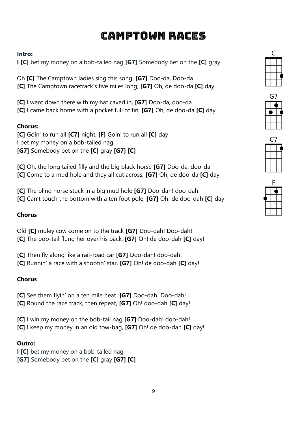# Camptown Races

### **Intro:**

**I [C]** bet my money on a bob-tailed nag **[G7]** Somebody bet on the **[C]** gray

Oh **[C]** The Camptown ladies sing this song, **[G7]** Doo-da, Doo-da **[C]** The Camptown racetrack's five miles long, **[G7]** Oh, de doo-da **[C]** day

- **[C]** I went down there with my hat caved in, **[G7]** Doo-da, doo-da
- **[C]** I came back home with a pocket full of tin, **[G7]** Oh, de doo-da **[C]** day

### **Chorus:**

**[C]** Goin' to run all **[C7]** night, **[F]** Goin' to run all **[C]** day I bet my money on a bob-tailed nag **[G7]** Somebody bet on the **[C]** gray **[G7] [C]**

**[C]** Oh, the long tailed filly and the big black horse **[G7]** Doo-da, doo-da **[C]** Come to a mud hole and they all cut across, **[G7]** Oh, de doo-da **[C]** day

**[C]** The blind horse stuck in a big mud hole **[G7]** Doo-dah! doo-dah! **[C]** Can't touch the bottom with a ten foot pole, **[G7]** Oh! de doo-dah **[C]** day!

### **Chorus**

Old **[C]** muley cow come on to the track **[G7]** Doo-dah! Doo-dah! **[C]** The bob-tail flung her over his back, **[G7]** Oh! de doo-dah **[C]** day!

**[C]** Then fly along like a rail-road car **[G7]** Doo-dah! doo-dah! **[C]** Runnin' a race with a shootin' star, **[G7]** Oh! de doo-dah **[C]** day!

### **Chorus**

- **[C]** See them flyin' on a ten mile heat **[G7]** Doo-dah! Doo-dah!
- **[C]** Round the race track, then repeat, **[G7]** Oh! doo-dah **[C]** day!
- **[C]** I win my money on the bob-tail nag **[G7]** Doo-dah! doo-dah!
- **[C]** I keep my money in an old tow-bag, **[G7]** Oh! de doo-dah **[C]** day!

### **Outro:**

- **I [C]** bet my money on a bob-tailed nag
- **[G7]** Somebody bet on the **[C]** gray **[G7] [C]**







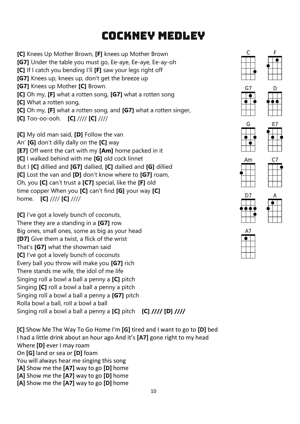# Cockney Medley

**[C]** Knees Up Mother Brown, **[F]** knees up Mother Brown **[G7]** Under the table you must go, Ee-aye, Ee-aye, Ee-ay-oh **[C]** If I catch you bending I'll **[F]** saw your legs right off **[G7]** Knees up, knees up, don't get the breeze up **[G7]** Knees up Mother **[C]** Brown. **[C]** Oh my, **[F]** what a rotten song, **[G7]** what a rotten song **[C]** What a rotten song, **[C]** Oh my, **[F]** what a rotten song, and **[G7]** what a rotten singer, **[C]** Too-oo-ooh. **[C]** //// **[C]** ////

**[C]** My old man said, **[D]** Follow the van An' **[G]** don't dilly dally on the **[C]** way **[E7]** Off went the cart with my **[Am]** home packed in it **[C]** I walked behind with me **[G]** old cock linnet But I **[C]** dillied and **[G7]** dallied, **[C]** dallied and **[G]** dillied **[C]** Lost the van and **[D]** don't know where to **[G7]** roam, Oh, you **[C]** can't trust a **[C7]** special, like the **[F]** old time copper When you **[C]** can't find **[G]** your way **[C]**  home. **[C]** //// **[C]** ////

**[C]** I've got a lovely bunch of coconuts, There they are a standing in a **[G7]** row Big ones, small ones, some as big as your head **[D7]** Give them a twist, a flick of the wrist That's **[G7]** what the showman said **[C]** I've got a lovely bunch of coconuts Every ball you throw will make you **[G7]** rich There stands me wife, the idol of me life Singing roll a bowl a ball a penny a **[C]** pitch Singing **[C]** roll a bowl a ball a penny a pitch Singing roll a bowl a ball a penny a **[G7]** pitch Rolla bowl a ball, roll a bowl a ball Singing roll a bowl a ball a penny a **[C]** pitch **[C] //// [D] ////**

**[C]** Show Me The Way To Go Home I'm **[G]** tired and I want to go to **[D]** bed I had a little drink about an hour ago And it's **[A7]** gone right to my head Where **[D]** ever I may roam On **[G]** land or sea or **[D]** foam You will always hear me singing this song **[A]** Show me the **[A7]** way to go **[D]** home **[A]** Show me the **[A7]** way to go **[D]** home **[A]** Show me the **[A7]** way to go **[D]** home









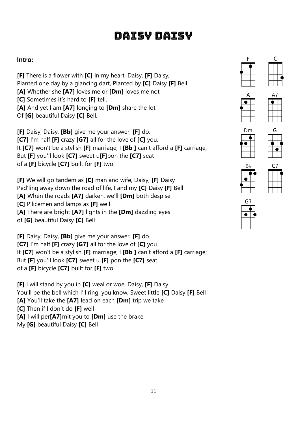# DAISY DAISY

### **Intro:**

**[F]** There is a flower with **[C]** in my heart, Daisy, **[F]** Daisy, Planted one day by a glancing dart, Planted by **[C]** Daisy **[F]** Bell **[A]** Whether she **[A7]** loves me or **[Dm]** loves me not **[C]** Sometimes it's hard to **[F]** tell. **[A]** And yet I am **[A7]** longing to **[Dm]** share the lot Of **[G]** beautiful Daisy **[C]** Bell.

**[F]** Daisy, Daisy, **[Bb]** give me your answer, **[F]** do. **[C7]** I'm half **[F]** crazy **[G7]** all for the love of **[C]** you. It **[C7]** won't be a stylish **[F]** marriage, I **[Bb ]** can't afford a **[F]** carriage; But **[F]** you'll look **[C7]** sweet u**[F]**pon the **[C7]** seat of a **[F]** bicycle **[C7]** built for **[F]** two.

**[F]** We will go tandem as **[C]** man and wife, Daisy, **[F]** Daisy Ped'ling away down the road of life, I and my **[C]** Daisy **[F]** Bell **[A]** When the roads **[A7]** darken, we'll **[Dm]** both despise **[C]** P'licemen and lamps as **[F]** well **[A]** There are bright **[A7]** lights in the **[Dm]** dazzling eyes of **[G]** beautiful Daisy **[C]** Bell

**[F]** Daisy, Daisy, **[Bb]** give me your answer, **[F]** do. **[C7]** I'm half **[F]** crazy **[G7]** all for the love of **[C]** you. It **[C7]** won't be a stylish **[F]** marriage, I **[Bb ]** can't afford a **[F]** carriage; But **[F]** you'll look **[C7]** sweet u **[F]** pon the **[C7]** seat of a **[F]** bicycle **[C7]** built for **[F]** two.

**[F]** I will stand by you in **[C]** weal or woe, Daisy, **[F]** Daisy You'll be the bell which I'll ring, you know, Sweet little **[C]** Daisy **[F]** Bell **[A]** You'll take the **[A7]** lead on each **[Dm]** trip we take **[C]** Then if I don't do **[F]** well **[A]** I will per**[A7]**mit you to **[Dm]** use the brake My **[G]** beautiful Daisy **[C]** Bell





 $\mathsf{C}$ 







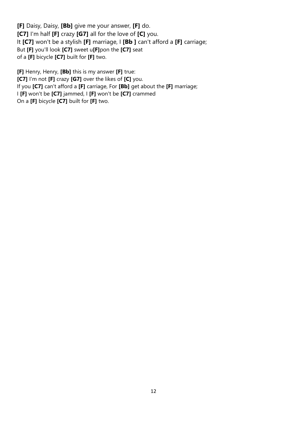**[F]** Daisy, Daisy, **[Bb]** give me your answer, **[F]** do. **[C7]** I'm half **[F]** crazy **[G7]** all for the love of **[C]** you. It **[C7]** won't be a stylish **[F]** marriage, I **[Bb ]** can't afford a **[F]** carriage; But **[F]** you'll look **[C7]** sweet u**[F]**pon the **[C7]** seat of a **[F]** bicycle **[C7]** built for **[F]** two.

**[F]** Henry, Henry, **[Bb]** this is my answer **[F]** true: **[C7]** I'm not **[F]** crazy **[G7]** over the likes of **[C]** you. If you **[C7]** can't afford a **[F]** carriage, For **[Bb]** get about the **[F]** marriage; I **[F]** won't be **[C7]** jammed, I **[F]** won't be **[C7]** crammed On a **[F]** bicycle **[C7]** built for **[F]** two.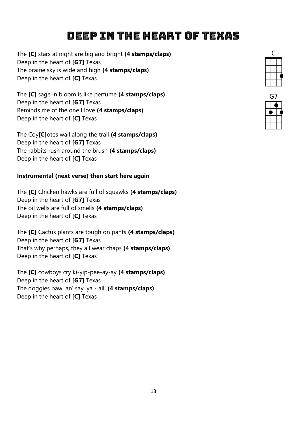# Deep in the Heart of Texas

The **[C]** stars at night are big and bright **(4 stamps/claps)** Deep in the heart of **[G7]** Texas The prairie sky is wide and high **(4 stamps/claps)** Deep in the heart of **[C]** Texas

The **[C]** sage in bloom is like perfume **(4 stamps/claps)** Deep in the heart of **[G7]** Texas Reminds me of the one I love **(4 stamps/claps)** Deep in the heart of **[C]** Texas

The Coy**[C]**otes wail along the trail **(4 stamps/claps)** Deep in the heart of **[G7]** Texas The rabbits rush around the brush **(4 stamps/claps)** Deep in the heart of **[C]** Texas

### **Instrumental (next verse) then start here again**

The **[C]** Chicken hawks are full of squawks **(4 stamps/claps)** Deep in the heart of **[G7]** Texas The oil wells are full of smells **(4 stamps/claps)** Deep in the heart of **[C]** Texas

The **[C]** Cactus plants are tough on pants **(4 stamps/claps)** Deep in the heart of **[G7]** Texas That's why perhaps, they all wear chaps **(4 stamps/claps)** Deep in the heart of **[C]** Texas

The **[C]** cowboys cry ki-yip-pee-ay-ay **(4 stamps/claps)** Deep in the heart of **[G7]** Texas The doggies bawl an' say 'ya - all' **(4 stamps/claps)** Deep in the heart of **[C]** Texas



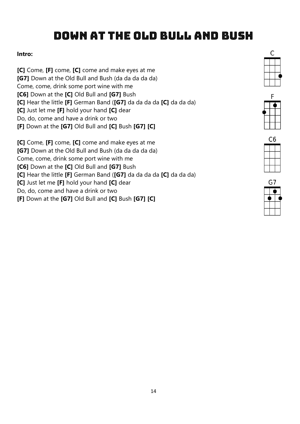# Down at the Old Bull and Bush

### **Intro:**

**[C]** Come, **[F]** come, **[C]** come and make eyes at me **[G7]** Down at the Old Bull and Bush (da da da da da) Come, come, drink some port wine with me **[C6]** Down at the **[C]** Old Bull and **[G7]** Bush **[C]** Hear the little **[F]** German Band (**[G7]** da da da da **[C]** da da da) **[C]** Just let me **[F]** hold your hand **[C]** dear Do, do, come and have a drink or two **[F]** Down at the **[G7]** Old Bull and **[C]** Bush **[G7] [C]**

**[C]** Come, **[F]** come, **[C]** come and make eyes at me **[G7]** Down at the Old Bull and Bush (da da da da da) Come, come, drink some port wine with me **[C6]** Down at the **[C]** Old Bull and **[G7]** Bush **[C]** Hear the little **[F]** German Band (**[G7]** da da da da **[C]** da da da) **[C]** Just let me **[F]** hold your hand **[C]** dear Do, do, come and have a drink or two **[F]** Down at the **[G7]** Old Bull and **[C]** Bush **[G7] [C]**







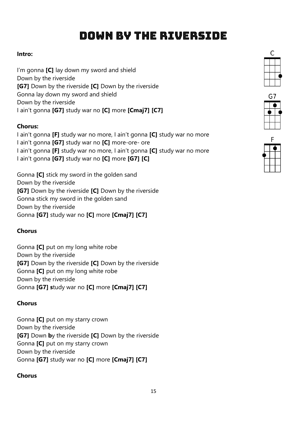# Down by the Riverside

### **Intro:**

I'm gonna **[C]** lay down my sword and shield Down by the riverside **[G7]** Down by the riverside **[C]** Down by the riverside Gonna lay down my sword and shield Down by the riverside I ain't gonna **[G7]** study war no **[C]** more **[Cmaj7] [C7]**

### **Chorus:**

I ain't gonna **[F]** study war no more, I ain't gonna **[C]** study war no more I ain't gonna **[G7]** study war no **[C]** more-ore- ore I ain't gonna **[F]** study war no more, I ain't gonna **[C]** study war no more I ain't gonna **[G7]** study war no **[C]** more **[G7] [C]**

Gonna **[C]** stick my sword in the golden sand Down by the riverside **[G7]** Down by the riverside **[C]** Down by the riverside Gonna stick my sword in the golden sand Down by the riverside Gonna **[G7]** study war no **[C]** more **[Cmaj7] [C7]**

### **Chorus**

Gonna **[C]** put on my long white robe Down by the riverside **[G7]** Down by the riverside **[C]** Down by the riverside Gonna **[C]** put on my long white robe Down by the riverside Gonna **[G7] s**tudy war no **[C]** more **[Cmaj7] [C7]**

### **Chorus**

Gonna **[C]** put on my starry crown Down by the riverside **[G7]** Down **b**y the riverside **[C]** Down by the riverside Gonna **[C]** put on my starry crown Down by the riverside Gonna **[G7]** study war no **[C]** more **[Cmaj7] [C7]**

### **Chorus**





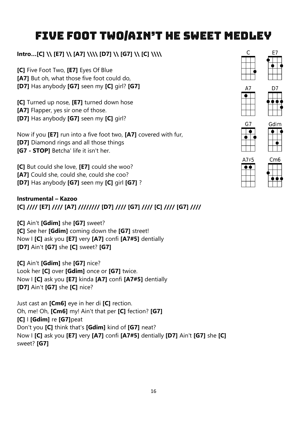# Five Foot Two/Ain't He Sweet Medley

# **Intro…[C] \\ [E7] \\ [A7] \\\\ [D7] \\ [G7] \\ [C] \\\\**

- **[C]** Five Foot Two, **[E7]** Eyes Of Blue
- **[A7]** But oh, what those five foot could do,
- **[D7]** Has anybody **[G7]** seen my **[C]** girl? **[G7]**

**[C]** Turned up nose, **[E7]** turned down hose **[A7]** Flapper, yes sir one of those. **[D7]** Has anybody **[G7]** seen my **[C]** girl?

Now if you **[E7]** run into a five foot two, **[A7]** covered with fur, **[D7]** Diamond rings and all those things **[G7 - STOP]** Betcha' life it isn't her.

**[C]** But could she love, **[E7]** could she woo? **[A7]** Could she, could she, could she coo? **[D7]** Has anybody **[G7]** seen my **[C]** girl **[G7]** ?

### **Instrumental – Kazoo [C] //// [E7] //// [A7] //////// [D7] //// [G7] //// [C] //// [G7] ////**

**[C]** Ain't **[Gdim]** she **[G7]** sweet? **[C]** See her **[Gdim]** coming down the **[G7]** street! Now I **[C]** ask you **[E7]** very **[A7]** confi **[A7#5]** dentially **[D7]** Ain't **[G7]** she **[C]** sweet? **[G7]**

**[C]** Ain't **[Gdim]** she **[G7]** nice? Look her **[C]** over **[Gdim]** once or **[G7]** twice. Now I **[C]** ask you **[E7]** kinda **[A7]** confi **[A7#5]** dentially **[D7]** Ain't **[G7]** she **[C]** nice?

Just cast an **[Cm6]** eye in her di **[C]** rection. Oh, me! Oh, **[Cm6]** my! Ain't that per **[C]** fection? **[G7] [C]** I **[Gdim]** re **[G7]**peat Don't you **[C]** think that's **[Gdim]** kind of **[G7]** neat? Now I **[C]** ask you **[E7]** very **[A7]** confi **[A7#5]** dentially **[D7]** Ain't **[G7]** she **[C]**  sweet? **[G7]**







| 47‡5 |  |  |
|------|--|--|
|      |  |  |
|      |  |  |
|      |  |  |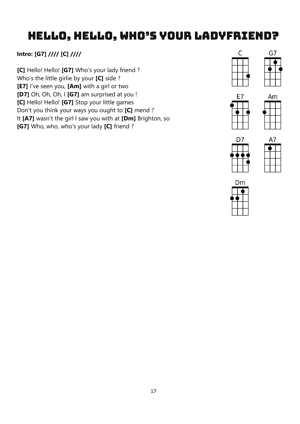# Hello, Hello, Who's Your Ladyfriend?

## **Intro: [G7] //// [C] ////**

**[C]** Hello! Hello! **[G7]** Who's your lady friend ? Who's the little girlie by your **[C]** side ? **[E7]** I've seen you, **[Am]** with a girl or two **[D7]** Oh, Oh, Oh, I **[G7]** am surprised at you ! **[C]** Hello! Hello! **[G7]** Stop your little games Don't you think your ways you ought to **[C]** mend ? It **[A7]** wasn't the girl I saw you with at **[Dm]** Brighton, so **[G7]** Who, who, who's your lady **[C]** friend ?





 $G7$ 









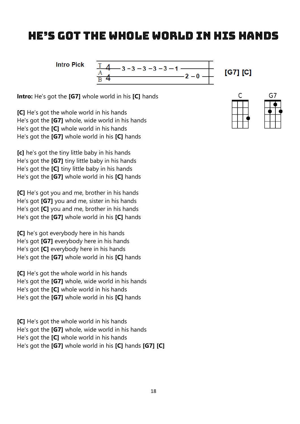# He's Got the Whole World in his Hands

**Intro Pick** 

$$
\frac{\frac{T}{A} + 3 - 3 - 3 - 3 - 3 - 1}{2 - 0}
$$
 [G7] [C]

**Intro:** He's got the **[G7]** whole world in his **[C]** hands

**[C]** He's got the whole world in his hands He's got the **[G7]** whole, wide world in his hands He's got the **[C]** whole world in his hands He's got the **[G7]** whole world in his **[C]** hands

**[c]** he's got the tiny little baby in his hands He's got the **[G7]** tiny little baby in his hands He's got the **[C]** tiny little baby in his hands He's got the **[G7]** whole world in his **[C]** hands

**[C]** He's got you and me, brother in his hands He's got **[G7]** you and me, sister in his hands He's got **[C]** you and me, brother in his hands He's got the **[G7]** whole world in his **[C]** hands

**[C]** he's got everybody here in his hands He's got **[G7]** everybody here in his hands He's got **[C]** everybody here in his hands He's got the **[G7]** whole world in his **[C]** hands

**[C]** He's got the whole world in his hands He's got the **[G7]** whole, wide world in his hands He's got the **[C]** whole world in his hands He's got the **[G7]** whole world in his **[C]** hands

**[C]** He's got the whole world in his hands He's got the **[G7]** whole, wide world in his hands He's got the **[C]** whole world in his hands He's got the **[G7]** whole world in his **[C]** hands **[G7] [C]**

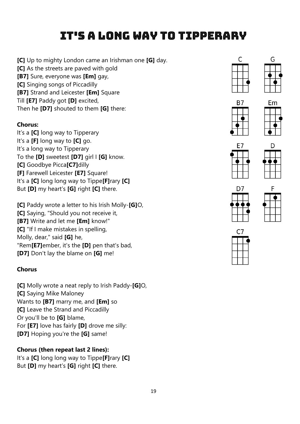# It's a long way to Tipperary

**[C]** Up to mighty London came an Irishman one **[G]** day. **[C]** As the streets are paved with gold **[B7]** Sure, everyone was **[Em]** gay, **[C]** Singing songs of Piccadilly **[B7]** Strand and Leicester **[Em]** Square Till **[E7]** Paddy got **[D]** excited, Then he **[D7]** shouted to them **[G]** there:

### **Chorus:**

It's a **[C]** long way to Tipperary It's a **[F]** long way to **[C]** go. It's a long way to Tipperary To the **[D]** sweetest **[D7]** girl I **[G]** know. **[C]** Goodbye Picca**[C7]**dilly **[F]** Farewell Leicester **[E7]** Square! It's a **[C]** long long way to Tippe**[F]**rary **[C]** But **[D]** my heart's **[G]** right **[C]** there.

**[C]** Paddy wrote a letter to his Irish Molly-**[G]**O, **[C]** Saying, "Should you not receive it, **[B7]** Write and let me **[Em]** know!" **[C]** "If I make mistakes in spelling, Molly, dear," said **[G]** he, "Rem**[E7]**ember, it's the **[D]** pen that's bad, **[D7]** Don't lay the blame on **[G]** me!

#### **Chorus**

**[C]** Molly wrote a neat reply to Irish Paddy-**[G]**O, **[C]** Saying Mike Maloney Wants to **[B7]** marry me, and **[Em]** so **[C]** Leave the Strand and Piccadilly Or you'll be to **[G]** blame, For **[E7]** love has fairly **[D]** drove me silly: **[D7]** Hoping you're the **[G]** same!

### **Chorus (then repeat last 2 lines):**

It's a **[C]** long long way to Tippe**[F]**rary **[C]** But **[D]** my heart's **[G]** right **[C]** there.















לח

19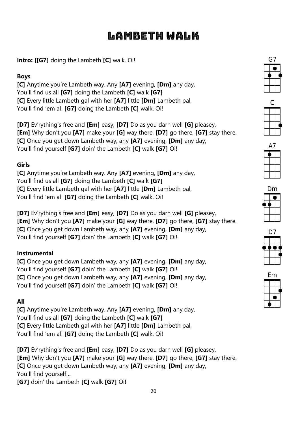# Lambeth Walk

**Intro: [[G7]** doing the Lambeth **[C]** walk. Oi!

### **Boys**

**[C]** Anytime you're Lambeth way. Any **[A7]** evening, **[Dm]** any day, You'll find us all **[G7]** doing the Lambeth **[C]** walk **[G7] [C]** Every little Lambeth gal with her **[A7]** little **[Dm]** Lambeth pal, You'll find 'em all **[G7]** doing the Lambeth **[C]** walk. Oi!

**[D7]** Ev'rything's free and **[Em]** easy, **[D7]** Do as you darn well **[G]** pleasey, **[Em]** Why don't you **[A7]** make your **[G]** way there, **[D7]** go there, **[G7]** stay there. **[C]** Once you get down Lambeth way, any **[A7]** evening, **[Dm]** any day, You'll find yourself **[G7]** doin' the Lambeth **[C]** walk **[G7]** Oi!

### **Girls**

**[C]** Anytime you're Lambeth way. Any **[A7]** evening, **[Dm]** any day, You'll find us all **[G7]** doing the Lambeth **[C]** walk **[G7] [C]** Every little Lambeth gal with her **[A7]** little **[Dm]** Lambeth pal, You'll find 'em all **[G7]** doing the Lambeth **[C]** walk. Oi!

**[D7]** Ev'rything's free and **[Em]** easy, **[D7]** Do as you darn well **[G]** pleasey, **[Em]** Why don't you **[A7]** make your **[G]** way there, **[D7]** go there, **[G7]** stay there. **[C]** Once you get down Lambeth way, any **[A7]** evening, **[Dm]** any day, You'll find yourself **[G7]** doin' the Lambeth **[C]** walk **[G7]** Oi!

### **Instrumental**

**[C]** Once you get down Lambeth way, any **[A7]** evening, **[Dm]** any day, You'll find yourself **[G7]** doin' the Lambeth **[C]** walk **[G7]** Oi! **[C]** Once you get down Lambeth way, any **[A7]** evening, **[Dm]** any day, You'll find yourself **[G7]** doin' the Lambeth **[C]** walk **[G7]** Oi!

## **All**

**[C]** Anytime you're Lambeth way. Any **[A7]** evening, **[Dm]** any day, You'll find us all **[G7]** doing the Lambeth **[C]** walk **[G7] [C]** Every little Lambeth gal with her **[A7]** little **[Dm]** Lambeth pal, You'll find 'em all **[G7]** doing the Lambeth **[C]** walk. Oi!

**[D7]** Ev'rything's free and **[Em]** easy, **[D7]** Do as you darn well **[G]** pleasey, **[Em]** Why don't you **[A7]** make your **[G]** way there, **[D7]** go there, **[G7]** stay there. **[C]** Once you get down Lambeth way, any **[A7]** evening, **[Dm]** any day, You'll find yourself… **[G7]** doin' the Lambeth **[C]** walk **[G7]** Oi!











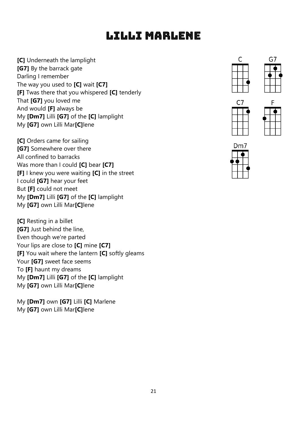# Lilli Marlene

**[C]** Underneath the lamplight **[G7]** By the barrack gate Darling I remember The way you used to **[C]** wait **[C7] [F]** Twas there that you whispered **[C]** tenderly That **[G7]** you loved me And would **[F]** always be My **[Dm7]** Lilli **[G7]** of the **[C]** lamplight My **[G7]** own Lilli Mar**[C]**lene

**[C]** Orders came for sailing **[G7]** Somewhere over there All confined to barracks Was more than I could **[C]** bear **[C7] [F]** I knew you were waiting **[C]** in the street I could **[G7]** hear your feet But **[F]** could not meet My **[Dm7]** Lilli **[G7]** of the **[C]** lamplight My **[G7]** own Lilli Mar**[C]**lene

**[C]** Resting in a billet **[G7]** Just behind the line, Even though we're parted Your lips are close to **[C]** mine **[C7] [F]** You wait where the lantern **[C]** softly gleams Your **[G7]** sweet face seems To **[F]** haunt my dreams My **[Dm7]** Lilli **[G7]** of the **[C]** lamplight My **[G7]** own Lilli Mar**[C]**lene

My **[Dm7]** own **[G7]** Lilli **[C]** Marlene My **[G7]** own Lilli Mar**[C]**lene









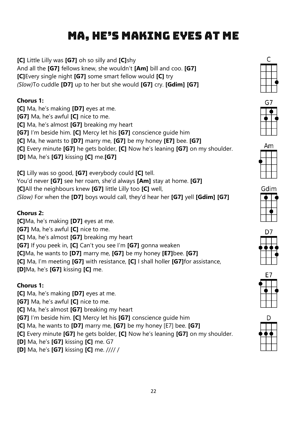# Ma, He's Making Eyes at Me

**[C]** Little Lilly was **[G7]** oh so silly and **[C]**shy And all the **[G7]** fellows knew, she wouldn't **[Am]** bill and coo. **[G7] [C]**Every single night **[G7]** some smart fellow would **[C]** try *(Slow)*To cuddle **[D7]** up to her but she would **[G7]** cry. **[Gdim] [G7]**

### **Chorus 1:**

**[C]** Ma, he's making **[D7]** eyes at me. **[G7]** Ma, he's awful **[C]** nice to me. **[C]** Ma, he's almost **[G7]** breaking my heart **[G7]** I'm beside him. **[C]** Mercy let his **[G7]** conscience guide him **[C]** Ma, he wants to **[D7]** marry me, **[G7]** be my honey **[E7]** bee. **[G7] [C]** Every minute **[G7]** he gets bolder, **[C]** Now he's leaning **[G7]** on my shoulder. **[D]** Ma, he's **[G7]** kissing **[C]** me.**[G7]**

**[C]** Lilly was so good, **[G7]** everybody could **[C]** tell. You'd never **[G7]** see her roam, she'd always **[Am]** stay at home. **[G7] [C]**All the neighbours knew **[G7]** little Lilly too **[C]** well, *(Slow)* For when the **[D7]** boys would call, they'd hear her **[G7]** yell **[Gdim] [G7]**

### **Chorus 2:**

**[C]**Ma, he's making **[D7]** eyes at me. **[G7]** Ma, he's awful **[C]** nice to me. **[C]** Ma, he's almost **[G7]** breaking my heart **[G7]** If you peek in, **[C]** Can't you see I'm **[G7]** gonna weaken **[C]**Ma, he wants to **[D7]** marry me, **[G7]** be my honey **[E7]**bee. **[G7] [C]** Ma, I'm meeting **[G7]** with resistance, **[C]** I shall holler **[G7]**for assistance, **[D]**Ma, he's **[G7]** kissing **[C]** me.

## **Chorus 1:**

**[C]** Ma, he's making **[D7]** eyes at me. **[G7]** Ma, he's awful **[C]** nice to me. **[C]** Ma, he's almost **[G7]** breaking my heart **[G7]** I'm beside him. **[C]** Mercy let his **[G7]** conscience guide him **[C]** Ma, he wants to **[D7]** marry me, **[G7]** be my honey [E7] bee. **[G7] [C]** Every minute **[G7]** he gets bolder, **[C]** Now he's leaning **[G7]** on my shoulder. **[D]** Ma, he's **[G7]** kissing **[C]** me. G7 **[D]** Ma, he's **[G7]** kissing **[C]** me. //// /













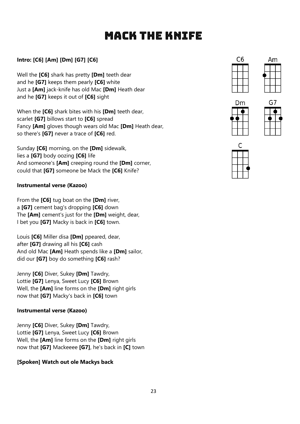# **MACK THE KNIFE**

### **Intro: [C6] [Am] [Dm] [G7] [C6]**

Well the **[C6]** shark has pretty **[Dm]** teeth dear and he **[G7]** keeps them pearly **[C6]** white Just a **[Am]** jack-knife has old Mac **[Dm]** Heath dear and he **[G7]** keeps it out of **[C6]** sight

When the **[C6]** shark bites with his **[Dm]** teeth dear, scarlet **[G7]** billows start to **[C6]** spread Fancy **[Am]** gloves though wears old Mac **[Dm]** Heath dear, so there's **[G7]** never a trace of **[C6]** red.

Sunday **[C6]** morning, on the **[Dm]** sidewalk, lies a **[G7]** body oozing **[C6]** life And someone's **[Am]** creeping round the **[Dm]** corner, could that **[G7]** someone be Mack the **[C6]** Knife?

#### **Instrumental verse (Kazoo)**

From the **[C6]** tug boat on the **[Dm]** river, a **[G7]** cement bag's dropping **[C6]** down The **[Am]** cement's just for the **[Dm]** weight, dear, I bet you **[G7]** Macky is back in **[C6]** town.

Louis **[C6]** Miller disa **[Dm]** ppeared, dear, after **[G7]** drawing all his **[C6]** cash And old Mac **[Am]** Heath spends like a **[Dm]** sailor, did our **[G7]** boy do something **[C6]** rash?

Jenny **[C6]** Diver, Sukey **[Dm]** Tawdry, Lottie **[G7]** Lenya, Sweet Lucy **[C6]** Brown Well, the **[Am]** line forms on the **[Dm]** right girls now that **[G7]** Macky's back in **[C6]** town

#### **Instrumental verse (Kazoo)**

Jenny **[C6]** Diver, Sukey **[Dm]** Tawdry, Lottie **[G7]** Lenya, Sweet Lucy **[C6]** Brown Well, the **[Am]** line forms on the **[Dm]** right girls now that **[G7]** Mackeeee **[G7]**, he's back in **[C]** town

#### **[Spoken] Watch out ole Mackys back**









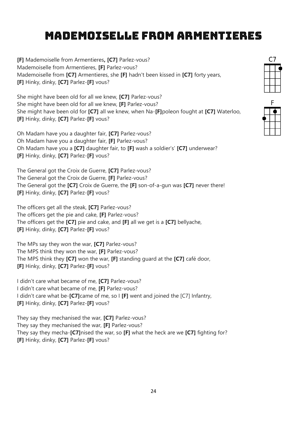# Mademoiselle From Armentieres

**[F]** Mademoiselle from Armentieres**, [C7]** Parlez-vous? Mademoiselle from Armentieres, **[F]** Parlez-vous? Mademoiselle from **[C7]** Armentieres, she **[F]** hadn't been kissed in **[C7]** forty years, **[F]** Hinky, dinky, **[C7]** Parlez-**[F]** vous?

She might have been old for all we knew, **[C7]** Parlez-vous? She might have been old for all we knew, **[F]** Parlez-vous? She might have been old for **[C7]** all we knew, when Na-**[F]**poleon fought at **[C7]** Waterloo, **[F]** Hinky, dinky, **[C7]** Parlez-**[F]** vous?

Oh Madam have you a daughter fair, **[C7]** Parlez-vous? Oh Madam have you a daughter fair, **[F]** Parlez-vous? Oh Madam have you a **[C7]** daughter fair, to **[F]** wash a soldier's' **[C7]** underwear? **[F]** Hinky, dinky, **[C7]** Parlez-**[F]** vous?

The General got the Croix de Guerre, **[C7]** Parlez-vous? The General got the Croix de Guerre, **[F]** Parlez-vous? The General got the **[C7]** Croix de Guerre, the **[F]** son-of-a-gun was **[C7]** never there! **[F]** Hinky, dinky, **[C7]** Parlez-**[F]** vous?

The officers get all the steak, **[C7]** Parlez-vous? The officers get the pie and cake, **[F]** Parlez-vous? The officers get the **[C7]** pie and cake, and **[F]** all we get is a **[C7]** bellyache, **[F]** Hinky, dinky, **[C7]** Parlez-**[F]** vous?

The MPs say they won the war, **[C7]** Parlez-vous? The MPS think they won the war, **[F]** Parlez-vous? The MPS think they **[C7]** won the war, **[F]** standing guard at the **[C7]** café door, **[F]** Hinky, dinky, **[C7]** Parlez-**[F]** vous?

I didn't care what became of me, **[C7]** Parlez-vous? I didn't care what became of me, **[F]** Parlez-vous? I didn't care what be-**[C7]**came of me, so I **[F]** went and joined the [C7] Infantry, **[F]** Hinky, dinky, **[C7]** Parlez-**[F]** vous?

They say they mechanised the war, **[C7]** Parlez-vous? They say they mechanised the war, **[F]** Parlez-vous? They say they mecha-**[C7]**nised the war, so **[F]** what the heck are we **[C7]** fighting for? **[F]** Hinky, dinky, **[C7]** Parlez-**[F]** vous?



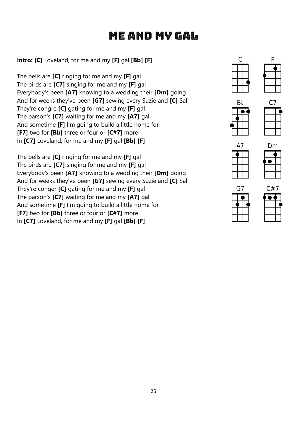# Me and my Gal

## **Intro: [C]** Loveland, for me and my **[F]** gal **[Bb] [F]**

The bells are **[C]** ringing for me and my **[F]** gal The birds are **[C7]** singing for me and my **[F]** gal Everybody's been **[A7]** knowing to a wedding their **[Dm]** going And for weeks they've been **[G7]** sewing every Suzie and **[C]** Sal They're congre **[C]** gating for me and my **[F]** gal The parson's **[C7]** waiting for me and my **[A7]** gal And sometime **[F]** I'm going to build a little home for **[F7]** two for **[Bb]** three or four or **[C#7]** more In **[C7]** Loveland, for me and my **[F]** gal **[Bb] [F]**

The bells are **[C]** ringing for me and my **[F]** gal The birds are **[C7]** singing for me and my **[F]** gal Everybody's been **[A7]** knowing to a wedding their **[Dm]** going And for weeks they've been **[G7]** sewing every Suzie and **[C]** Sal They're conger **[C]** gating for me and my **[F]** gal The parson's **[C7]** waiting for me and my **[A7]** gal And sometime **[F]** I'm going to build a little home for **[F7]** two for **[Bb]** three or four or **[C#7]** more In **[C7]** Loveland, for me and my **[F]** gal **[Bb] [F]**













 $C#7$ 



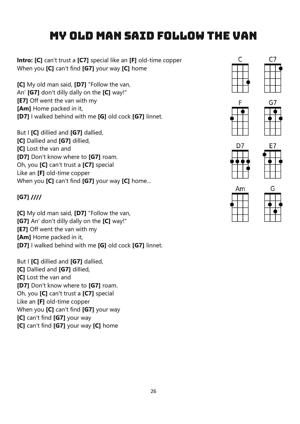# My Old Man Said Follow the Van

**Intro: [C]** can't trust a **[C7]** special like an **[F]** old-time copper When you **[C]** can't find **[G7]** your way **[C]** home

**[C]** My old man said, **[D7]** "Follow the van, An' **[G7]** don't dilly dally on the **[C]** way!" **[E7]** Off went the van with my **[Am]** Home packed in it, **[D7]** I walked behind with me **[G]** old cock **[G7]** linnet.

But I **[C]** dillied and **[G7]** dallied, **[C]** Dallied and **[G7]** dillied, **[C]** Lost the van and **[D7]** Don't know where to **[G7]** roam. Oh, you **[C]** can't trust a **[C7]** special Like an **[F]** old-time copper When you **[C]** can't find **[G7]** your way **[C]** home…

### **[G7] ////**

**[C]** My old man said, **[D7]** "Follow the van, **[G7]** An' don't dilly dally on the **[C]** way!" **[E7]** Off went the van with my **[Am]** Home packed in it, **[D7]** I walked behind with me **[G]** old cock **[G7]** linnet.

But I **[C]** dillied and **[G7]** dallied, **[C]** Dallied and **[G7]** dillied, **[C]** Lost the van and **[D7]** Don't know where to **[G7]** roam. Oh, you **[C]** can't trust a **[C7]** special Like an **[F]** old-time copper When you **[C]** can't find **[G7]** your way **[C]** can't find **[G7]** your way **[C]** can't find **[G7]** your way **[C]** home











Am



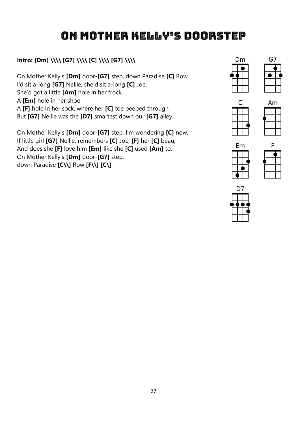# On Mother Kelly's Doorstep

# **Intro: [Dm] \\\\ [G7] \\\\ [C] \\\\ [G7] \\\\**

On Mother Kelly's **[Dm]** door**-[G7]** step, down Paradise **[C]** Row, I'd sit a-long **[G7]** Nellie, she'd sit a-long **[C]** Joe. She'd got a little **[Am]** hole in her frock, A **[Em]** hole in her shoe A **[F]** hole in her sock, where her **[C]** toe peeped through, But **[G7]** Nellie was the **[D7]** smartest down our **[G7]** alley.

On Mother Kelly's **[Dm]** door-**[G7]** step, I'm wondering **[C]** now, If little girl **[G7]** Nellie, remembers **[C]** Joe, **[F]** her **[C]** beau, And does she **[F]** love him **[Em]** like she **[C]** used **[Am]** to, On Mother Kelly's **[Dm]** door-**[G7]** step, down Paradise **[C\\]** Row **[F\\] [C\]**















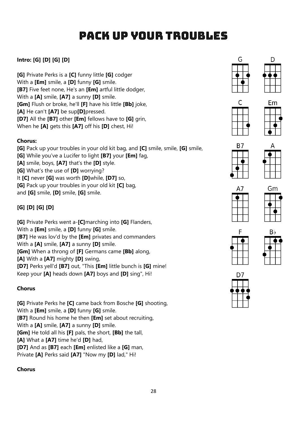# PACK UP YOUR TROUBLES

### **Intro: [G] [D] [G] [D]**

**[G]** Private Perks is a **[C]** funny little **[G]** codger With a **[Em]** smile, a **[D]** funny **[G]** smile. **[B7]** Five feet none, He's an **[Em]** artful little dodger, With a **[A]** smile, **[A7]** a sunny **[D]** smile. **[Gm]** Flush or broke, he'll **[F]** have his little **[Bb]** joke, **[A]** He can't **[A7]** be sup**[D]**pressed. **[D7]** All the **[B7]** other **[Em]** fellows have to **[G]** grin, When he **[A]** gets this **[A7]** off his **[D]** chest, Hi!

#### **Chorus:**

**[G]** Pack up your troubles in your old kit bag, and **[C]** smile, smile, **[G]** smile, **[G]** While you've a Lucifer to light **[B7]** your **[Em]** fag, **[A]** smile, boys, **[A7]** that's the **[D]** style. **[G]** What's the use of **[D]** worrying? It **[C]** never **[G]** was worth **[D]**while, **[D7]** so, **[G]** Pack up your troubles in your old kit **[C]** bag, and **[G]** smile, **[D]** smile, **[G]** smile.

#### **[G] [D] [G] [D]**

**[G]** Private Perks went a-**[C]**marching into **[G]** Flanders, With a **[Em]** smile, a **[D]** funny **[G]** smile. **[B7]** He was lov'd by the **[Em]** privates and commanders With a **[A]** smile, **[A7]** a sunny **[D]** smile. **[Gm]** When a throng of **[F]** Germans came **[Bb]** along, **[A]** With a **[A7]** mighty **[D]** swing, **[D7]** Perks yell'd **[B7]** out, "This **[Em]** little bunch is **[G]** mine! Keep your **[A]** heads down **[A7]** boys and **[D]** sing", Hi!

#### **Chorus**

**[G]** Private Perks he **[C]** came back from Bosche **[G]** shooting, With a **[Em]** smile, a **[D]** funny **[G]** smile. **[B7]** Round his home he then **[Em]** set about recruiting, With a **[A]** smile, **[A7]** a sunny **[D]** smile. **[Gm]** He told all his **[F]** pals, the short, **[Bb]** the tall, **[A]** What a **[A7]** time he'd **[D]** had, **[D7]** And as **[B7]** each **[Em]** enlisted like a **[G]** man, Private **[A]** Perks said **[A7]** "Now my **[D]** lad," Hi!

#### **Chorus**























28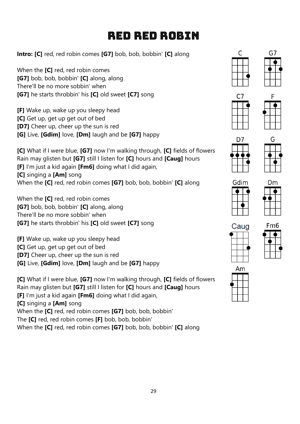# Red Red Robin

**Intro: [C]** red, red robin comes **[G7]** bob, bob, bobbin' **[C]** along

When the **[C]** red, red robin comes **[G7]** bob, bob, bobbin' **[C]** along, along There'll be no more sobbin' when **[G7]** he starts throbbin' his **[C]** old sweet **[C7]** song

**[F]** Wake up, wake up you sleepy head **[C]** Get up, get up get out of bed **[D7]** Cheer up, cheer up the sun is red **[G]** Live, **[Gdim]** love, **[Dm]** laugh and be **[G7]** happy

**[C]** What if I were blue, **[G7]** now I'm walking through, **[C]** fields of flowers Rain may glisten but **[G7]** still I listen for **[C]** hours and **[Caug]** hours **[F]** I'm just a kid again **[Fm6]** doing what I did again, **[C]** singing a **[Am]** song When the **[C]** red, red robin comes **[G7]** bob, bob, bobbin' **[C]** along

When the **[C]** red, red robin comes **[G7]** bob, bob, bobbin' **[C]** along, along There'll be no more sobbin' when **[G7]** he starts throbbin' his **[C]** old sweet **[C7]** song

**[F]** Wake up, wake up you sleepy head **[C]** Get up, get up get out of bed **[D7]** Cheer up, cheer up the sun is red **[G]** Live, **[Gdim]** love, **[Dm]** laugh and be **[G7]** happy

**[C]** What if I were blue, **[G7]** now I'm walking through, **[C]** fields of flowers Rain may glisten but **[G7]** still I listen for **[C]** hours and **[Caug]** hours **[F]** I'm just a kid again **[Fm6]** doing what I did again, **[C]** singing a **[Am]** song When the **[C]** red, red robin comes **[G7]** bob, bob, bobbin' The **[C]** red, red robin comes **[F]** bob, bob, bobbin' When the **[C]** red, red robin comes **[G7]** bob, bob, bobbin' **[C]** along













| Gdim |  |  |  |  |  |  |  |
|------|--|--|--|--|--|--|--|
|      |  |  |  |  |  |  |  |
|      |  |  |  |  |  |  |  |
|      |  |  |  |  |  |  |  |
|      |  |  |  |  |  |  |  |

| ۱m<br>IJ |  |  |  |  |
|----------|--|--|--|--|
|          |  |  |  |  |
|          |  |  |  |  |
|          |  |  |  |  |
|          |  |  |  |  |





|  | I | ı |
|--|---|---|
|  |   |   |
|  |   |   |
|  |   |   |
|  |   |   |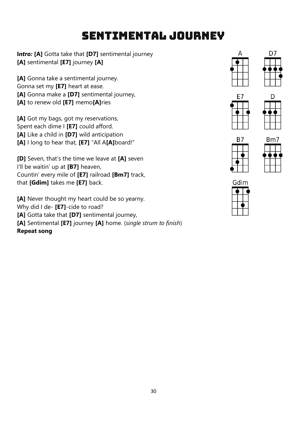# Sentimental Journey

# **I***ntro:* **[A]** Gotta take that **[D7]** sentimental journey **[A]** sentimental **[E7]** journey **[A]**

**[A]** Gonna take a sentimental journey. Gonna set my **[E7]** heart at ease. **[A]** Gonna make a **[D7]** sentimental journey, **[A]** to renew old **[E7]** memo**[A]**ries

**[A]** Got my bags, got my reservations, Spent each dime I **[E7]** could afford. **[A]** Like a child in **[D7]** wild anticipation **[A]** I long to hear that, **[E7]** "All A**[A]**board!"

**[D]** Seven, that's the time we leave at **[A]** seven I'll be waitin' up at **[B7]** heaven, Countin' every mile of **[E7]** railroad **[Bm7]** track, that **[Gdim]** takes me **[E7]** back.

**[A]** Never thought my heart could be so yearny. Why did I de- **[E7]**-cide to road? **[A]** Gotta take that **[D7]** sentimental journey, **[A]** Sentimental **[E7]** journey **[A]** home. (*single strum to finish*) **Repeat song**











|  | Gdim |  |
|--|------|--|
|  |      |  |
|  |      |  |
|  |      |  |
|  |      |  |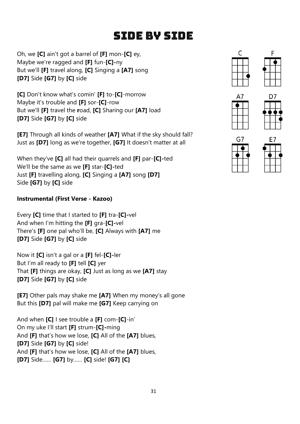# SIDE BY SIDE

Oh, we **[C]** ain't got a barrel of **[F]** mon-**[C]** ey, Maybe we're ragged and **[F]** fun-**[C]-**ny But we'll **[F]** travel along, **[C]** Singing a **[A7]** song **[D7]** Side **[G7]** by **[C]** side

**[C]** Don't know what's comin' **[F]** to-**[C]**-morrow Maybe it's trouble and **[F]** sor-**[C]**-row But we'll **[F]** travel the **r**oad, **[C]** Sharing our **[A7]** load **[D7]** Side **[G7]** by **[C]** side

**[E7]** Through all kinds of weather **[A7]** What if the sky should fall? Just as **[D7]** long as we're together, **[G7]** It doesn't matter at all

When they've **[C]** all had their quarrels and **[F]** par-**[C]-**ted We'll be the same as we **[F]** star-**[C]-**ted Just **[F]** travelling along, **[C]** Singing a **[A7]** song **[D7]**  Side **[G7]** by **[C]** side

### **Instrumental (First Verse - Kazoo)**

Every **[C]** time that I started to **[F]** tra-**[C]-**vel And when I'm hitting the **[F]** gra-**[C]-**vel There's **[F]** one pal who'll be, **[C]** Always with **[A7]** me **[D7]** Side **[G7]** by **[C]** side

Now it **[C]** isn't a gal or a **[F]** fel-**[C]-**ler But I'm all ready to **[F]** tell **[C]** yer That **[F]** things are okay, **[C]** Just as long as we **[A7]** stay **[D7]** Side **[G7]** by **[C]** side

**[E7]** Other pals may shake me **[A7]** When my money's all gone But this **[D7]** pal will make me **[G7]** Keep carrying on

And when **[C]** I see trouble a **[F]** com-**[C]**-in' On my uke I'll start **[F]** strum-**[C]-**ming And **[F]** that's how we lose, **[C]** All of the **[A7]** blues, **[D7]** Side **[G7]** by **[C]** side! And **[F]** that's how we lose, **[C]** All of the **[A7]** blues, **[D7]** Side…… **[G7]** by…… **[C]** side! **[G7] [C]**





D7





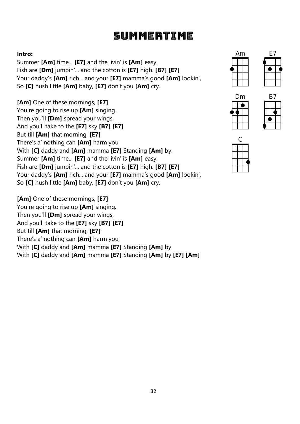# **SUMMERTIME**

### **Intro:**

Summer **[Am]** time... **[E7]** and the livin' is **[Am]** easy. Fish are **[Dm]** jumpin'... and the cotton is **[E7]** high. **[B7] [E7]** Your daddy's **[Am]** rich... and your **[E7]** mamma's good **[Am]** lookin', So **[C]** hush little **[Am]** baby, **[E7]** don't you **[Am]** cry.

**[Am]** One of these mornings, **[E7]** You're going to rise up **[Am]** singing. Then you'll **[Dm]** spread your wings, And you'll take to the **[E7]** sky **[B7] [E7]** But till **[Am]** that morning, **[E7]** There's a' nothing can **[Am]** harm you, With **[C]** daddy and **[Am]** mamma **[E7]** Standing **[Am]** by. Summer **[Am]** time... **[E7]** and the livin' is **[Am]** easy. Fish are **[Dm]** jumpin'... and the cotton is **[E7]** high. **[B7] [E7]** Your daddy's **[Am]** rich... and your **[E7]** mamma's good **[Am]** lookin', So **[C]** hush little **[Am]** baby, **[E7]** don't you **[Am]** cry.

**[Am]** One of these mornings, **[E7]** You're going to rise up **[Am]** singing. Then you'll **[Dm]** spread your wings, And you'll take to the **[E7]** sky **[B7] [E7]** But till **[Am]** that morning, **[E7]** There's a' nothing can **[Am]** harm you, With **[C]** daddy and **[Am]** mamma **[E7]** Standing **[Am]** by With **[C]** daddy and **[Am]** mamma **[E7]** Standing **[Am]** by **[E7] [Am]**







F7

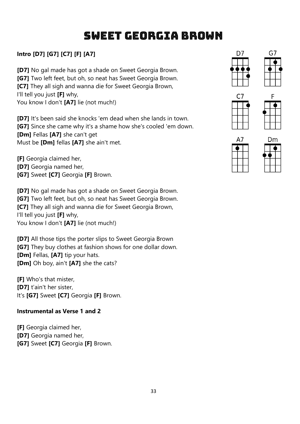# Sweet Georgia Brown

## **Intro [D7] [G7] [C7] [F] [A7]**

**[D7]** No gal made has got a shade on Sweet Georgia Brown. **[G7]** Two left feet, but oh, so neat has Sweet Georgia Brown. **[C7]** They all sigh and wanna die for Sweet Georgia Brown, I'll tell you just **[F]** why, You know I don't **[A7]** lie (not much!)

**[D7]** It's been said she knocks 'em dead when she lands in town. **[G7]** Since she came why it's a shame how she's cooled 'em down. **[Dm]** Fellas **[A7]** she can't get Must be **[Dm]** fellas **[A7]** she ain't met.

**[F]** Georgia claimed her, **[D7]** Georgia named her, **[G7]** Sweet **[C7]** Georgia **[F]** Brown.

**[D7]** No gal made has got a shade on Sweet Georgia Brown. **[G7]** Two left feet, but oh, so neat has Sweet Georgia Brown. **[C7]** They all sigh and wanna die for Sweet Georgia Brown, I'll tell you just **[F]** why, You know I don't **[A7]** lie (not much!)

**[D7]** All those tips the porter slips to Sweet Georgia Brown **[G7]** They buy clothes at fashion shows for one dollar down. **[Dm]** Fellas, **[A7]** tip your hats. **[Dm]** Oh boy, ain't **[A7]** she the cats?

**[F]** Who's that mister, **[D7]** t'ain't her sister, It's **[G7]** Sweet **[C7]** Georgia **[F]** Brown.

#### **Instrumental as Verse 1 and 2**

**[F]** Georgia claimed her, **[D7]** Georgia named her, **[G7]** Sweet **[C7]** Georgia **[F]** Brown.









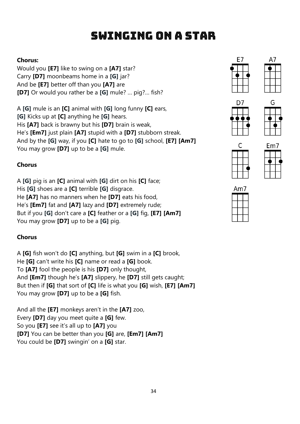# Swinging on a Star

### **Chorus:**

Would you **[E7]** like to swing on a **[A7]** star? Carry **[D7]** moonbeams home in a **[G]** jar? And be **[E7]** better off than you **[A7]** are **[D7]** Or would you rather be a **[G]** mule? … pig?… fish?

A **[G]** mule is an **[C]** animal with **[G]** long funny **[C]** ears, **[G]** Kicks up at **[C]** anything he **[G]** hears. His **[A7]** back is brawny but his **[D7]** brain is weak, He's **[Em7]** just plain **[A7]** stupid with a **[D7]** stubborn streak. And by the **[G]** way, if you **[C]** hate to go to **[G]** school, **[E7] [Am7]** You may grow **[D7]** up to be a **[G]** mule.

### **Chorus**

A **[G]** pig is an **[C]** animal with **[G]** dirt on his **[C]** face; His **[G]** shoes are a **[C]** terrible **[G]** disgrace. He **[A7]** has no manners when he **[D7]** eats his food, He's **[Em7]** fat and **[A7]** lazy and **[D7]** extremely rude; But if you **[G]** don't care a **[C]** feather or a **[G]** fig, **[E7] [Am7]** You may grow **[D7]** up to be a **[G]** pig.

### **Chorus**

A **[G]** fish won't do **[C]** anything, but **[G]** swim in a **[C]** brook, He **[G]** can't write his **[C]** name or read a **[G]** book. To **[A7]** fool the people is his **[D7]** only thought, And **[Em7]** though he's **[A7]** slippery, he **[D7]** still gets caught; But then if **[G]** that sort of **[C]** life is what you **[G]** wish, **[E7] [Am7]** You may grow **[D7]** up to be a **[G]** fish.

And all the **[E7]** monkeys aren't in the **[A7]** zoo, Every **[D7]** day you meet quite a **[G]** few. So you **[E7]** see it's all up to **[A7]** you **[D7]** You can be better than you **[G]** are, **[Em7] [Am7]** You could be **[D7]** swingin' on a **[G]** star.









Fm7



| L | η | $\overline{\mathcal{U}}$ |  |
|---|---|--------------------------|--|
|   |   |                          |  |
|   |   |                          |  |
|   |   |                          |  |
|   |   |                          |  |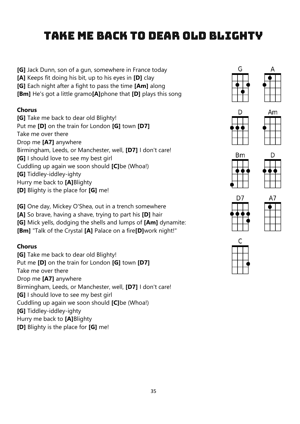# Take Me Back To Dear Old Blighty

**[G]** Jack Dunn, son of a gun, somewhere in France today

**[A]** Keeps fit doing his bit, up to his eyes in **[D]** clay

**[G]** Each night after a fight to pass the time **[Am]** along

**[Bm]** He's got a little gramo**[A]**phone that **[D]** plays this song

### **Chorus**

**[G]** Take me back to dear old Blighty! Put me **[D]** on the train for London **[G]** town **[D7]** Take me over there Drop me **[A7]** anywhere Birmingham, Leeds, or Manchester, well, **[D7]** I don't care! **[G]** I should love to see my best girl Cuddling up again we soon should **[C]**be (Whoa!) **[G]** Tiddley-iddley-ighty Hurry me back to **[A]**Blighty **[D]** Blighty is the place for **[G]** me!

**[G]** One day, Mickey O'Shea, out in a trench somewhere **[A]** So brave, having a shave, trying to part his **[D]** hair **[G]** Mick yells, dodging the shells and lumps of **[Am]** dynamite: **[Bm]** "Talk of the Crystal **[A]** Palace on a fire**[D]**work night!"

### **Chorus**

**[G]** Take me back to dear old Blighty! Put me **[D]** on the train for London **[G]** town **[D7]** Take me over there Drop me **[A7]** anywhere Birmingham, Leeds, or Manchester, well, **[D7]** I don't care! **[G]** I should love to see my best girl Cuddling up again we soon should **[C]**be (Whoa!) **[G]** Tiddley-iddley-ighty Hurry me back to **[A]**Blighty **[D]** Blighty is the place for **[G]** me!









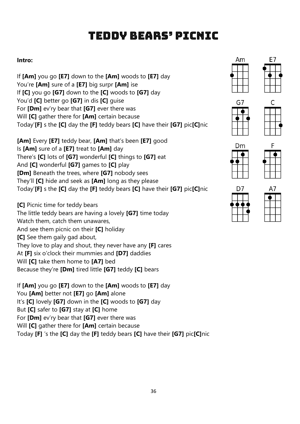# Teddy Bears' Picnic

### **Intro:**

If **[Am]** you go **[E7]** down to the **[Am]** woods to **[E7]** day You're **[Am]** sure of a **[E7]** big surpr **[Am]** ise If **[C]** you go **[G7]** down to the **[C]** woods to **[G7]** day You'd **[C]** better go **[G7]** in dis **[C]** guise For **[Dm]** ev'ry bear that **[G7]** ever there was Will **[C]** gather there for **[Am]** certain because Today'**[F]** s the **[C]** day the **[F]** teddy bears **[C]** have their **[G7]** pic**[C]**nic

**[Am]** Every **[E7]** teddy bear, **[Am]** that's been **[E7]** good Is **[Am]** sure of a **[E7]** treat to **[Am]** day There's **[C]** lots of **[G7]** wonderful **[C]** things to **[G7]** eat And **[C]** wonderful **[G7]** games to **[C]** play **[Dm]** Beneath the trees, where **[G7]** nobody sees They'll **[C]** hide and seek as **[Am]** long as they please Today'**[F]** s the **[C]** day the **[F]** teddy bears **[C]** have their **[G7]** pic**[C]**nic

**[C]** Picnic time for teddy bears The little teddy bears are having a lovely **[G7]** time today Watch them, catch them unawares, And see them picnic on their **[C]** holiday **[C]** See them gaily gad about, They love to play and shout, they never have any **[F]** cares At **[F]** six o'clock their mummies and **[D7]** daddies Will **[C]** take them home to **[A7]** bed Because they're **[Dm]** tired little **[G7]** teddy **[C]** bears

If **[Am]** you go **[E7]** down to the **[Am]** woods to **[E7]** day You **[Am]** better not **[E7]** go **[Am]** alone It's **[C]** lovely **[G7]** down in the **[C]** woods to **[G7]** day But **[C]** safer to **[G7]** stay at **[C]** home For **[Dm]** ev'ry bear that **[G7]** ever there was Will **[C]** gather there for **[Am]** certain because Today **[F]** 's the **[C]** day the **[F]** teddy bears **[C]** have their **[G7]** pic**[C]**nic









| ۱m |  |  |  |  |  |
|----|--|--|--|--|--|
|    |  |  |  |  |  |
|    |  |  |  |  |  |
|    |  |  |  |  |  |
|    |  |  |  |  |  |

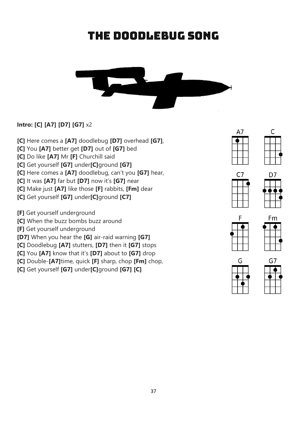# THE DOODLEBUG SONG



### **Intro: [C] [A7] [D7] [G7]** x2

- **[C]** Here comes a **[A7]** doodlebug **[D7]** overhead **[G7]**,
- **[C]** You **[A7]** better get **[D7]** out of **[G7]** bed
- **[C]** Do like **[A7]** Mr **[F]** Churchill said
- **[C]** Get yourself **[G7]** under**[C]**ground **[G7]**
- **[C]** Here comes a **[A7]** doodlebug, can't you **[G7]** hear,
- **[C]** It was **[A7]** far but **[D7]** now it's **[G7]** near
- **[C]** Make just **[A7]** like those **[F]** rabbits, **[Fm]** dear
- **[C]** Get yourself **[G7]** under**[C]**ground **[C7]**
- **[F]** Get yourself underground
- **[C]** When the buzz bombs buzz around
- **[F]** Get yourself underground
- **[D7]** When you hear the **[G]** air-raid warning **[G7]**
- **[C]** Doodlebug **[A7]** stutters, **[D7]** then it **[G7]** stops
- **[C]** You **[A7]** know that it's **[D7]** about to **[G7]** drop
- **[C]** Double-**[A7]**time, quick **[F]** sharp, chop **[Fm]** chop,
- **[C]** Get yourself **[G7]** under**[C]**ground **[G7] [C]**











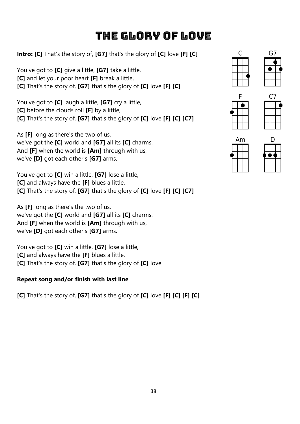# The Glory of Love

**Intro: [C]** That's the story of, **[G7]** that's the glory of **[C]** love **[F] [C]**

You've got to **[C]** give a little, **[G7]** take a little, **[C]** and let your poor heart **[F]** break a little, **[C]** That's the story of, **[G7]** that's the glory of **[C]** love **[F] [C]**

You've got to **[C]** laugh a little, **[G7]** cry a little, **[C]** before the clouds roll **[F]** by a little, **[C]** That's the story of, **[G7]** that's the glory of **[C]** love **[F] [C] [C7]**

As **[F]** long as there's the two of us, we've got the **[C]** world and **[G7]** all its **[C]** charms. And **[F]** when the world is **[Am]** through with us, we've **[D]** got each other's **[G7]** arms.

You've got to **[C]** win a little, **[G7]** lose a little, **[C]** and always have the **[F]** blues a little. **[C]** That's the story of, **[G7]** that's the glory of **[C]** love **[F] [C] [C7]**

As **[F]** long as there's the two of us, we've got the **[C]** world and **[G7]** all its **[C]** charms. And **[F]** when the world is **[Am]** through with us, we've **[D]** got each other's **[G7]** arms.

You've got to **[C]** win a little, **[G7]** lose a little, **[C]** and always have the **[F]** blues a little. **[C]** That's the story of, **[G7]** that's the glory of **[C]** love

### **Repeat song and/or finish with last line**

**[C]** That's the story of, **[G7]** that's the glory of **[C]** love **[F] [C] [F] [C]**









D

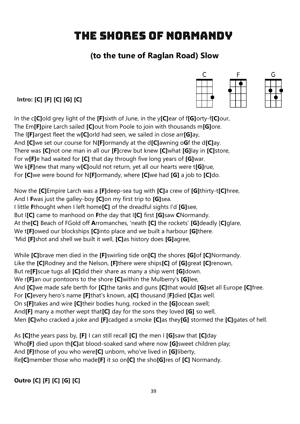# The Shores of Normandy

# **(to the tune of Raglan Road) Slow**

# **Intro: [C] [F] [C] [G] [C]**





In the c**[C]**old grey light of the **[F]**sixth of June, in the y**[C]**ear of f**[G]**orty-f**[C]**our, The Em**[F]**pire Larch sailed **[C]**out from Poole to join with thousands m**[G]**ore. The l**[F]**argest fleet the w**[C]**orld had seen, we sailed in close arr**[G]**ay, And **[C]**we set our course for N**[F]**ormandy at the d**[C]**awning o**G**f the d**[C]**ay. There was **[C]**not one man in all our **[F]**crew but knew **[C]**what **[G]**lay in **[C]**store, For w**[F]**e had waited for **[C]** that day through five long years of **[G]**war. We k**[F]**new that many w**[C]**ould not return, yet all our hearts were t**[G]**rue, For **[C]**we were bound for N**[F]**ormandy, where **[C]**we had **[G]** a job to **[C]**do.

Now the **[C]**Empire Larch was a **[F]**deep-sea tug with **[C]**a crew of **[G]**thirty-t**[C]**hree, And I **F**was just the galley-boy **[C]**on my first trip to **[G]**sea. I little **F**thought when I left home**[C]** of the dreadful sights I'd **[G]**see, But I**[C]** came to manhood on **F**the day that I**[C]** first **[G]**saw **C**Normandy. At the**[C]** Beach of FGold off **A**rromanches, 'neath **[C]** the rockets' **[G]**deadly [**C]**glare, We t**[F]**owed our blockships **[C]**into place and we built a harbour **[G]**there. 'Mid **[F]**shot and shell we built it well, **[C]**as history does **[G]**agree,

While **[C]**brave men died in the **[F]**swirling tide on**[C]** the shores **[G]**of **[C]**Normandy. Like the **[C]**Rodney and the Nelson, **[F]**there were ships**[C]** of **[G]**great **[C]**renown, But re**[F]**scue tugs all **[C]**did their share as many a ship went **[G]**down. We r**[F]**an our pontoons to the shore **[C]**within the Mulberry's **[G]**lee, And **[C]**we made safe berth for **[C]**the tanks and guns **[C]**that would **[G]**set all Europe **[C]**free. For **[C]**every hero's name **[F]**that's known, a**[C]** thousand [**F]**died **[C]**as well. On s**[F]**takes and wire **[C]**their bodies hung, rocked in the **[G]**ocean swell; And**[F]** many a mother wept that**[C]** day for the sons they loved **[G]** so well, Men **[C]**who cracked a joke and **[F]**cadged a smoke **[C]**as they**[G]** stormed the **[C]**gates of hell.

As **[C]**the years pass by, **[F]** I can still recall **[C]** the men I **[G]**saw that **[C]**day Who**[F]** died upon th**[C]**at blood-soaked sand where now **[G]**sweet children play; And **[F]**those of you who were**[C]** unborn, who've lived in **[G]**liberty, Re**[C]**member those who made**[F]** it so on**[C]** the sho**[G]**res of **[C]** Normandy.

**Outro [C] [F] [C] [G] [C]**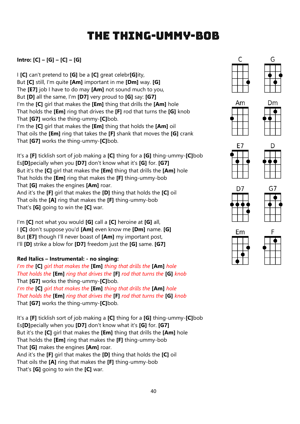# The thing-ummy-bob

### **Intro: [C] – [G] – [C] – [G]**

I **[C]** can't pretend to **[G]** be a **[C]** great celebr**[G]**ity, But **[C]** still, I'm quite **[Am]** important in me **[Dm]** way. **[G]** The **[E7]** job I have to do may **[Am]** not sound much to you, But **[D]** all the same, I'm **[D7]** very proud to **[G]** say: **[G7]** I'm the **[C]** girl that makes the **[Em]** thing that drills the **[Am]** hole That holds the **[Em]** ring that drives the **[F]** rod that turns the **[G]** knob That **[G7]** works the thing-ummy-**[C]**bob. I'm the **[C]** girl that makes the **[Em]** thing that holds the **[Am]** oil That oils the **[Em]** ring that takes the **[F]** shank that moves the **[G]** crank That **[G7]** works the thing-ummy-**[C]**bob.

It's a **[F]** ticklish sort of job making a **[C]** thing for a **[G]** thing-ummy-**[C]**bob Es**[D]**pecially when you **[D7]** don't know what it's **[G]** for. **[G7]** But it's the **[C]** girl that makes the **[Em]** thing that drills the **[Am]** hole That holds the **[Em]** ring that makes the **[F]** thing-ummy-bob That **[G]** makes the engines **[Am]** roar. And it's the **[F]** girl that makes the **[D]** thing that holds the **[C]** oil That oils the **[A]** ring that makes the **[F]** thing-ummy-bob That's **[G]** going to win the **[C]** war.

I'm **[C]** not what you would **[G]** call a **[C]** heroine at **[G]** all, I **[C]** don't suppose you'd **[Am]** even know me **[Dm]** name. **[G]** But **[E7]** though I'll never boast of **[Am]** my important post, I'll **[D]** strike a blow for **[D7]** freedom just the **[G]** same. **[G7]**

#### **Red Italics – Instrumental: - no singing:**

*I'm the* **[C]** *girl that makes the* **[Em]** *thing that drills the* **[Am]** *hole That holds the* **[Em]** *ring that drives the* **[F]** *rod that turns the* **[G]** *knob* That **[G7]** works the thing-ummy-**[C]**bob. *I'm the* **[C]** *girl that makes the* **[Em]** *thing that drills the* **[Am]** *hole That holds the* **[Em]** *ring that drives the* **[F]** *rod that turns the* **[G]** *knob* That **[G7]** works the thing-ummy-**[C]**bob.

It's a **[F]** ticklish sort of job making a **[C]** thing for a **[G]** thing-ummy-**[C]**bob Es**[D]**pecially when you **[D7]** don't know what it's **[G]** for. **[G7]** But it's the **[C]** girl that makes the **[Em]** thing that drills the **[Am]** hole That holds the **[Em]** ring that makes the **[F]** thing-ummy-bob That **[G]** makes the engines **[Am]** roar. And it's the **[F]** girl that makes the **[D]** thing that holds the **[C]** oil That oils the **[A]** ring that makes the **[F]** thing-ummy-bob That's **[G]** going to win the **[C]** war.











D7











40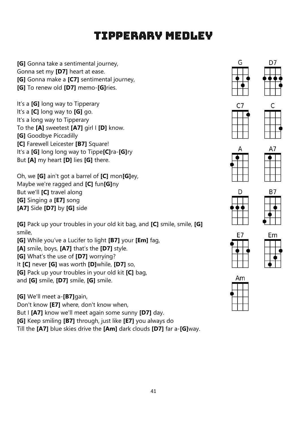# Tipperary MEDLEY

**[G]** Gonna take a sentimental journey, Gonna set my **[D7]** heart at ease. **[G]** Gonna make a **[C7]** sentimental journey, **[G]** To renew old **[D7]** memo-**[G]**ries.

It's a **[G]** long way to Tipperary It's a **[C]** long way to **[G]** go. It's a long way to Tipperary To the **[A]** sweetest **[A7]** girl I **[D]** know. **[G]** Goodbye Piccadilly **[C]** Farewell Leicester **[B7]** Square! It's a **[G]** long long way to Tippe**[C]**ra-**[G]**ry But **[A]** my heart **[D]** lies **[G]** there.

Oh, we **[G]** ain't got a barrel of **[C]** mon**[G]**ey, Maybe we're ragged and **[C]** fun**[G]**ny But we'll **[C]** travel along **[G]** Singing a **[E7]** song **[A7]** Side **[D7]** by **[G]** side

**[G]** Pack up your troubles in your old kit bag, and **[C]** smile, smile, **[G]** smile,

**[G]** While you've a Lucifer to light **[B7]** your **[Em]** fag,

**[A]** smile, boys, **[A7]** that's the **[D7]** style.

**[G]** What's the use of **[D7]** worrying?

It **[C]** never **[G]** was worth **[D]**while, **[D7]** so,

**[G]** Pack up your troubles in your old kit **[C]** bag,

and **[G]** smile, **[D7]** smile, **[G]** smile.

**[G]** We'll meet a-**[B7]**gain,

Don't know **[E7]** where, don't know when,

But I **[A7]** know we'll meet again some sunny **[D7]** day.

**[G]** Keep smiling **[B7]** through, just like **[E7]** you always do

Till the **[A7]** blue skies drive the **[Am]** dark clouds **[D7]** far a-**[G]**way.









 $A7$ 



D





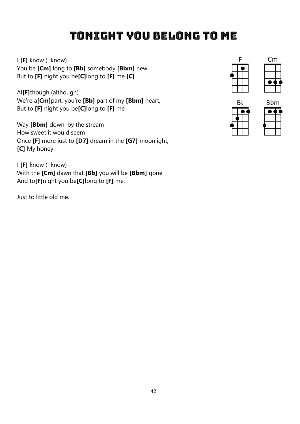# Tonight You Belong to Me

I **[F]** know (I know) You be **[Cm]** long to **[Bb]** somebody **[Bbm]** new But to **[F]** night you be**[C]**long to **[F]** me **[C]**

Al**[F]**though (although) We're a**[Cm]**part, you're **[Bb]** part of my **[Bbm]** heart, But to **[F]** night you be**[C]**long to **[F]** me

Way **[Bbm]** down, by the stream How sweet it would seem Once **[F]** more just to **[D7]** dream in the **[G7]** moonlight, **[C]** My honey

I **[F]** know (I know) With the **[Cm]** dawn that **[Bb]** you will be **[Bbm]** gone And to**[F]**night you be**[C]l**ong to **[F]** me.

Just to little old me.







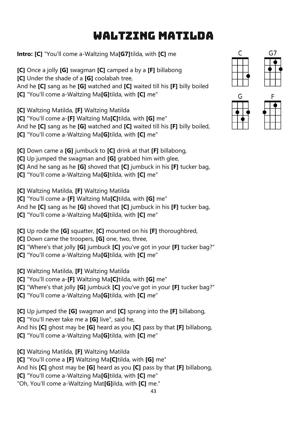# Waltzing Matilda

**Intro: [C]** "You'll come a-Waltzing Ma**[G7]**tilda, with **[C]** me

**[C]** Once a jolly **[G]** swagman **[C]** camped a by a **[F]** billabong **[C]** Under the shade of a **[G]** coolabah tree, And he **[C]** sang as he **[G]** watched and **[C]** waited till his **[F]** billy boiled **[C]** "You'll come a-Waltzing Ma**[G]**tilda, with **[C]** me"

**[C]** Waltzing Matilda, **[F]** Waltzing Matilda

**[C]** "You'll come a-**[F]** Waltzing Ma**[C]**tilda, with **[G]** me"

And he **[C]** sang as he **[G]** watched and **[C]** waited till his **[F]** billy boiled,

**[C]** "You'll come a-Waltzing Ma**[G]**tilda, with **[C]** me"

**[C]** Down came a **[G]** jumbuck to **[C]** drink at that **[F]** billabong,

**[C]** Up jumped the swagman and **[G]** grabbed him with glee,

**[C]** And he sang as he **[G]** shoved that **[C]** jumbuck in his **[F]** tucker bag,

**[C]** "You'll come a-Waltzing Ma**[G]**tilda, with **[C]** me"

**[C]** Waltzing Matilda, **[F]** Waltzing Matilda

**[C]** "You'll come a-**[F]** Waltzing Ma**[C]**tilda, with **[G]** me"

And he **[C]** sang as he **[G]** shoved that **[C]** jumbuck in his **[F]** tucker bag,

**[C]** "You'll come a-Waltzing Ma**[G]**tilda, with **[C]** me"

**[C]** Up rode the **[G]** squatter, **[C]** mounted on his **[F]** thoroughbred,

**[C]** Down came the troopers, **[G]** one, two, three,

**[C]** "Where's that jolly **[G]** jumbuck **[C]** you've got in your **[F]** tucker bag?"

**[C]** "You'll come a-Waltzing Ma**[G]**tilda, with **[C]** me"

**[C]** Waltzing Matilda, **[F]** Waltzing Matilda

**[C]** "You'll come a-**[F]** Waltzing Ma**[C]**tilda, with **[G]** me"

**[C]** "Where's that jolly **[G]** jumbuck **[C]** you've got in your **[F]** tucker bag?"

**[C]** "You'll come a-Waltzing Ma**[G]**tilda, with **[C]** me"

**[C]** Up jumped the **[G]** swagman and **[C]** sprang into the **[F]** billabong,

**[C]** "You'll never take me a **[G]** live", said he,

And his **[C]** ghost may be **[G]** heard as you **[C]** pass by that **[F]** billabong,

**[C]** "You'll come a-Waltzing Ma**[G]**tilda, with **[C]** me"

**[C]** Waltzing Matilda, **[F]** Waltzing Matilda

**[C]** "You'll come a **[F]** Waltzing Ma**[C]**tilda, with **[G]** me"

And his **[C]** ghost may be **[G]** heard as you **[C]** pass by that **[F]** billabong,

43

**[C]** "You'll come a-Waltzing Ma**[G]**tilda, with **[C]** me"

"Oh, You'll come a-Waltzing Mat**[G]**ilda, with **[C]** me."



 $G<sub>7</sub>$ 

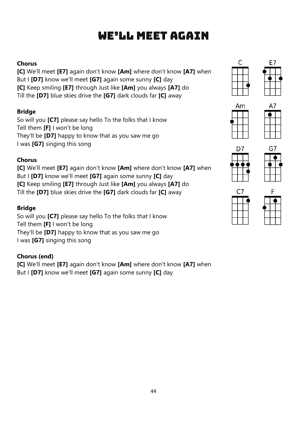# WE'LL MEET AGAIN

### **Chorus**

**[C]** We'll meet **[E7]** again don't know **[Am]** where don't know **[A7]** when But I **[D7]** know we'll meet **[G7]** again some sunny **[C]** day **[C]** Keep smiling **[E7]** through Just like **[Am]** you always **[A7]** do Till the **[D7]** blue skies drive the **[G7]** dark clouds far **[C]** away

## **Bridge**

So will you **[C7]** please say hello To the folks that I know Tell them **[F]** I won't be long They'll be **[D7]** happy to know that as you saw me go I was **[G7]** singing this song

### **Chorus**

**[C]** We'll meet **[E7]** again don't know **[Am]** where don't know **[A7]** when But I **[D7]** know we'll meet **[G7]** again some sunny **[C]** day **[C]** Keep smiling **[E7]** through Just like **[Am]** you always **[A7]** do Till the **[D7]** blue skies drive the **[G7]** dark clouds far **[C]** away

### **Bridge**

So will you **[C7]** please say hello To the folks that I know Tell them **[F]** I won't be long They'll be **[D7]** happy to know that as you saw me go I was **[G7]** singing this song

### **Chorus (end)**

**[C]** We'll meet **[E7]** again don't know **[Am]** where don't know **[A7]** when But I **[D7]** know we'll meet **[G7]** again some sunny **[C]** day













G7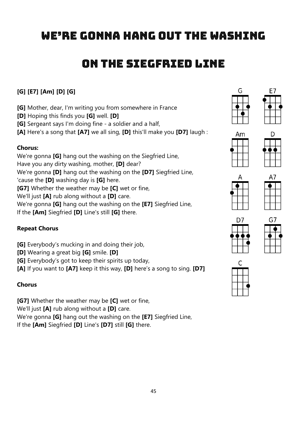# We're gonna hang out the washing

# on the Siegfried Line

# **[G] [E7] [Am] [D] [G]**

- **[G]** Mother, dear, I'm writing you from somewhere in France
- **[D]** Hoping this finds you **[G]** well. **[D]**
- **[G]** Sergeant says I'm doing fine a soldier and a half,
- **[A]** Here's a song that **[A7]** we all sing, **[D]** this'll make you **[D7]** laugh :

#### **Chorus:**

We're gonna **[G]** hang out the washing on the Siegfried Line,

Have you any dirty washing, mother, **[D]** dear?

We're gonna **[D]** hang out the washing on the **[D7]** Siegfried Line,

'cause the **[D]** washing day is **[G]** here.

**[G7]** Whether the weather may be **[C]** wet or fine,

We'll just **[A]** rub along without a **[D]** care.

We're gonna **[G]** hang out the washing on the **[E7]** Siegfried Line,

If the **[Am]** Siegfried **[D]** Line's still **[G]** there.

### **Repeat Chorus**

- **[G]** Everybody's mucking in and doing their job,
- **[D]** Wearing a great big **[G]** smile. **[D]**
- **[G]** Everybody's got to keep their spirits up today,
- **[A]** If you want to **[A7]** keep it this way, **[D]** here's a song to sing. **[D7]**

#### **Chorus**

**[G7]** Whether the weather may be **[C]** wet or fine,

We'll just **[A]** rub along without a **[D]** care.

We're gonna **[G]** hang out the washing on the **[E7]** Siegfried Line,

If the **[Am]** Siegfried **[D]** Line's **[D7]** still **[G]** there.











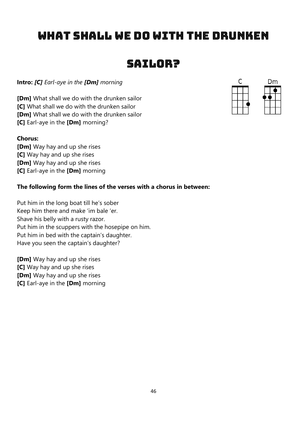# What Shall We Do with the Drunken

# **SAILOR?**

**Intro:** *[C] Earl-aye in the [Dm] morning*

**[Dm]** What shall we do with the drunken sailor **[C]** What shall we do with the drunken sailor **[Dm]** What shall we do with the drunken sailor **[C]** Earl-aye in the **[Dm]** morning?

#### **Chorus:**

**[Dm]** Way hay and up she rises **[C]** Way hay and up she rises **[Dm]** Way hay and up she rises **[C]** Earl-aye in the **[Dm]** morning

#### **The following form the lines of the verses with a chorus in between:**

Put him in the long boat till he's sober Keep him there and make 'im bale 'er. Shave his belly with a rusty razor. Put him in the scuppers with the hosepipe on him. Put him in bed with the captain's daughter. Have you seen the captain's daughter?

**[Dm]** Way hay and up she rises **[C]** Way hay and up she rises **[Dm]** Way hay and up she rises **[C]** Earl-aye in the **[Dm]** morning

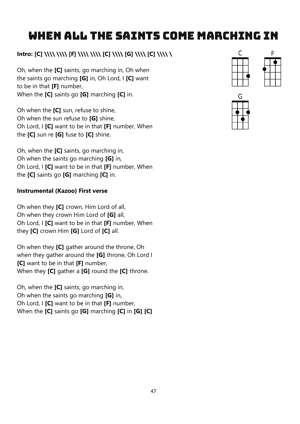# When All The Saints Come Marching In

# **Intro: [C] \\\\ \\\\ [F] \\\\ \\\\ [C] \\\\ [G] \\\\ [C] \\\\ \**

Oh, when the **[C]** saints, go marching in, Oh when the saints go marching **[G]** in, Oh Lord, I **[C]** want to be in that **[F]** number, When the **[C]** saints go **[G]** marching **[C]** in.

Oh when the **[C]** sun, refuse to shine, Oh when the sun refuse to **[G]** shine, Oh Lord, I **[C]** want to be in that **[F]** number, When the **[C]** sun re **[G]** fuse to **[C]** shine.

Oh, when the **[C]** saints, go marching in, Oh when the saints go marching **[G]** in, Oh Lord, I **[C]** want to be in that **[F]** number, When the **[C]** saints go **[G]** marching **[C]** in.

#### **Instrumental (Kazoo) First verse**

Oh when they **[C]** crown, Him Lord of all, Oh when they crown Him Lord of **[G]** all, Oh Lord, I **[C]** want to be in that **[F]** number, When they **[C]** crown Him **[G]** Lord of **[C]** all.

Oh when they **[C]** gather around the throne, Oh when they gather around the **[G]** throne, Oh Lord I **[C]** want to be in that **[F]** number, When they **[C]** gather a **[G]** round the **[C]** throne.

Oh, when the **[C]** saints, go marching in, Oh when the saints go marching **[G]** in, Oh Lord, I **[C]** want to be in that **[F]** number, When the **[C]** saints go **[G]** marching **[C]** in **[G] [C]**



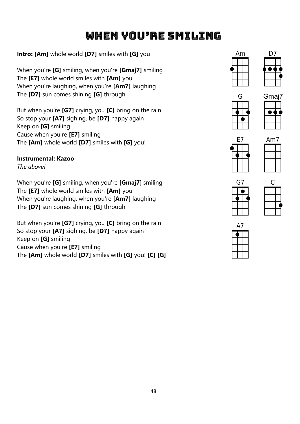# When You're Smiling

**Intro: [Am]** whole world **[D7]** smiles with **[G]** you

When you're **[G]** smiling, when you're **[Gmaj7]** smiling The **[E7]** whole world smiles with **[Am]** you When you're laughing, when you're **[Am7]** laughing The **[D7]** sun comes shining **[G]** through

But when you're **[G7]** crying, you **[C]** bring on the rain So stop your **[A7]** sighing, be **[D7]** happy again Keep on **[G]** smiling Cause when you're **[E7]** smiling The **[Am]** whole world **[D7]** smiles with **[G]** you!

### **Instrumental: Kazoo**

*The above!*

When you're **[G]** smiling, when you're **[Gmaj7**] smiling The **[E7]** whole world smiles with **[Am]** you When you're laughing, when you're **[Am7]** laughing The **[D7]** sun comes shining **[G]** through

But when you're **[G7]** crying, you **[C]** bring on the rain So stop your **[A7]** sighing, be **[D7]** happy again Keep on **[G]** smiling Cause when you're **[E7]** smiling The **[Am]** whole world **[D7]** smiles with **[G]** you! **[C] [G]**









 $Am7$ 







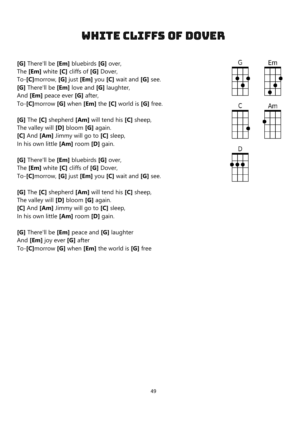# WHITE CLIFFS OF DOVER

**[G]** There'll be **[Em]** bluebirds **[G]** over, The **[Em]** white **[C]** cliffs of **[G]** Dover, To-**[C]**morrow, **[G]** just **[Em]** you **[C]** wait and **[G]** see. **[G]** There'll be **[Em]** love and **[G]** laughter, And **[Em]** peace ever **[G]** after, To-**[C]**morrow **[G]** when **[Em]** the **[C]** world is **[G]** free.

**[G]** The **[C]** shepherd **[Am]** will tend his **[C]** sheep, The valley will **[D]** bloom **[G]** again. **[C]** And **[Am]** Jimmy will go to **[C]** sleep, In his own little **[Am]** room **[D]** gain.

**[G]** There'll be **[Em]** bluebirds **[G]** over, The **[Em]** white **[C]** cliffs of **[G]** Dover, To-**[C]**morrow, **[G]** just **[Em]** you **[C]** wait and **[G]** see.

**[G]** The **[C]** shepherd **[Am]** will tend his **[C]** sheep, The valley will **[D]** bloom **[G]** again. **[C]** And **[Am]** Jimmy will go to **[C]** sleep, In his own little **[Am]** room **[D]** gain.

**[G]** There'll be **[Em]** peace and **[G]** laughter And **[Em]** joy ever **[G]** after To-**[C]**morrow **[G]** when **[Em]** the world is **[G]** free









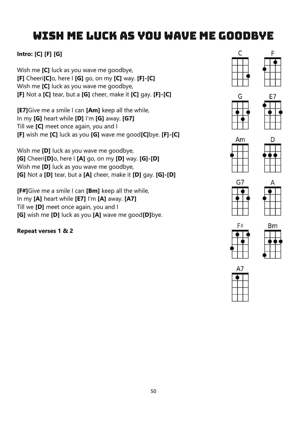# WISH ME LUCK AS YOU WAVE ME GOODBYE

## **Intro: [C] [F] [G]**

Wish me **[C]** luck as you wave me goodbye, **[F]** Cheeri**[C]**o, here I **[G]** go, on my **[C]** way. **[F]-[C]** Wish me **[C]** luck as you wave me goodbye, **[F]** Not a **[C]** tear, but a **[G]** cheer, make it **[C]** gay. **[F]-[C]**

**[E7]**Give me a smile I can **[Am]** keep all the while, In my **[G]** heart while **[D]** I'm **[G]** away. **[G7]** Till we **[C]** meet once again, you and I **[F]** wish me **[C]** luck as you **[G]** wave me good**[C]**bye. **[F]-[C]**

Wish me **[D]** luck as you wave me goodbye, **[G]** Cheeri**[D]**o, here I **[A]** go, on my **[D]** way. **[G]-[D]** Wish me **[D]** luck as you wave me goodbye, **[G]** Not a **[D]** tear, but a **[A]** cheer, make it **[D]** gay. **[G]-[D]**

**[F#]**Give me a smile I can **[Bm]** keep all the while, In my **[A]** heart while **[E7]** I'm **[A]** away. **[A7]** Till we **[D]** meet once again, you and I **[G]** wish me **[D]** luck as you **[A]** wave me good**[D]**bye.

### **Repeat verses 1 & 2**

















**Bm** 



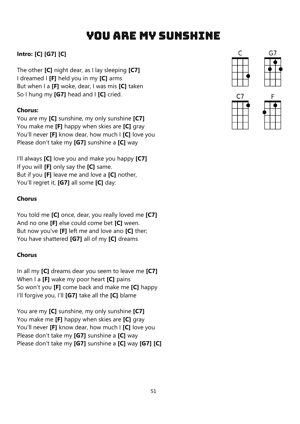# You are my Sunshine

# **Intro: [C] [G7] [C]**

The other **[C]** night dear, as I lay sleeping **[C7]** I dreamed I **[F]** held you in my **[C]** arms But when I a **[F]** woke, dear, I was mis **[C]** taken So I hung my **[G7]** head and I **[C]** cried.

### **Chorus:**

You are my **[C]** sunshine, my only sunshine **[C7]** You make me **[F]** happy when skies are **[C]** gray You'll never **[F]** know dear, how much I **[C]** love you Please don't take my **[G7]** sunshine a **[C]** way

I'll always **[C]** love you and make you happy **[C7]** If you will **[F]** only say the **[C]** same. But if you **[F]** leave me and love a **[C]** nother, You'll regret it, **[G7]** all some **[C]** day:

### **Chorus**

You told me **[C]** once, dear, you really loved me **[C7]** And no one **[F]** else could come bet **[C]** ween. But now you've **[F]** left me and love ano **[C]** ther; You have shattered **[G7]** all of my **[C]** dreams

### **Chorus**

In all my **[C]** dreams dear you seem to leave me **[C7]** When I a **[F]** wake my poor heart **[C]** pains So won't you **[F]** come back and make me **[C]** happy I'll forgive you, I'll **[G7]** take all the **[C]** blame

You are my **[C]** sunshine, my only sunshine **[C7]** You make me **[F]** happy when skies are **[C]** gray You'll never **[F]** know dear, how much I **[C]** love you Please don't take my **[G7]** sunshine a **[C]** way Please don't take my **[G7]** sunshine a **[C]** way **[G7] [C]**





 $G<sub>7</sub>$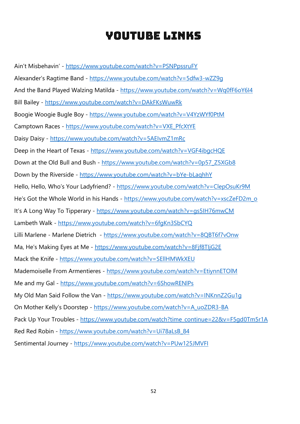# YouTube Links

Ain't Misbehavin' - <https://www.youtube.com/watch?v=PSNPpssruFY> Alexander's Ragtime Band - <https://www.youtube.com/watch?v=5dfw3-wZZ9g> And the Band Played Walzing Matilda - <https://www.youtube.com/watch?v=Wq0fF6oY6I4> Bill Bailey - <https://www.youtube.com/watch?v=DAkFKsWuwRk> Boogie Woogie Bugle Boy - <https://www.youtube.com/watch?v=V4YzWYf0PtM> Camptown Races - [https://www.youtube.com/watch?v=VXE\\_PfcXtYE](https://www.youtube.com/watch?v=VXE_PfcXtYE) Daisy Daisy - <https://www.youtube.com/watch?v=5AEIvmZ1mRc> Deep in the Heart of Texas - <https://www.youtube.com/watch?v=VGF4ibgcHQE> Down at the Old Bull and Bush - [https://www.youtube.com/watch?v=0p57\\_Z5XGb8](https://www.youtube.com/watch?v=0p57_Z5XGb8) Down by the Riverside - <https://www.youtube.com/watch?v=bYe-bLaqhhY> Hello, Hello, Who's Your Ladyfriend? - <https://www.youtube.com/watch?v=ClepOsuKr9M> He's Got the Whole World in his Hands - [https://www.youtube.com/watch?v=xscZeFD2m\\_o](https://www.youtube.com/watch?v=xscZeFD2m_o) It's A Long Way To Tipperary - <https://www.youtube.com/watch?v=gs5IH76mwCM> Lambeth Walk - <https://www.youtube.com/watch?v=6fgKn3SbCYQ> Lilli Marlene - Marlene Dietrich - <https://www.youtube.com/watch?v=8QBT6f7vOnw> Ma, He's Making Eyes at Me - <https://www.youtube.com/watch?v=8Fjf8TIjG2E> Mack the Knife - <https://www.youtube.com/watch?v=SEllHMWkXEU> Mademoiselle From Armentieres - <https://www.youtube.com/watch?v=EtiynnETOlM> Me and my Gal - https://www.youtube.com/watch?v=6ShowRENIPs My Old Man Said Follow the Van - <https://www.youtube.com/watch?v=INKnnZ2Gu1g> On Mother Kelly's Doorstep - [https://www.youtube.com/watch?v=A\\_uoZDR3-BA](https://www.youtube.com/watch?v=A_uoZDR3-BA) Pack Up Your Troubles - [https://www.youtube.com/watch?time\\_continue=22&v=F5gd0Tm5r1A](https://www.youtube.com/watch?time_continue=22&v=F5gd0Tm5r1A) Red Red Robin - [https://www.youtube.com/watch?v=Ui78aLsB\\_84](https://www.youtube.com/watch?v=Ui78aLsB_84) Sentimental Journey - <https://www.youtube.com/watch?v=PUw125JMVFI>